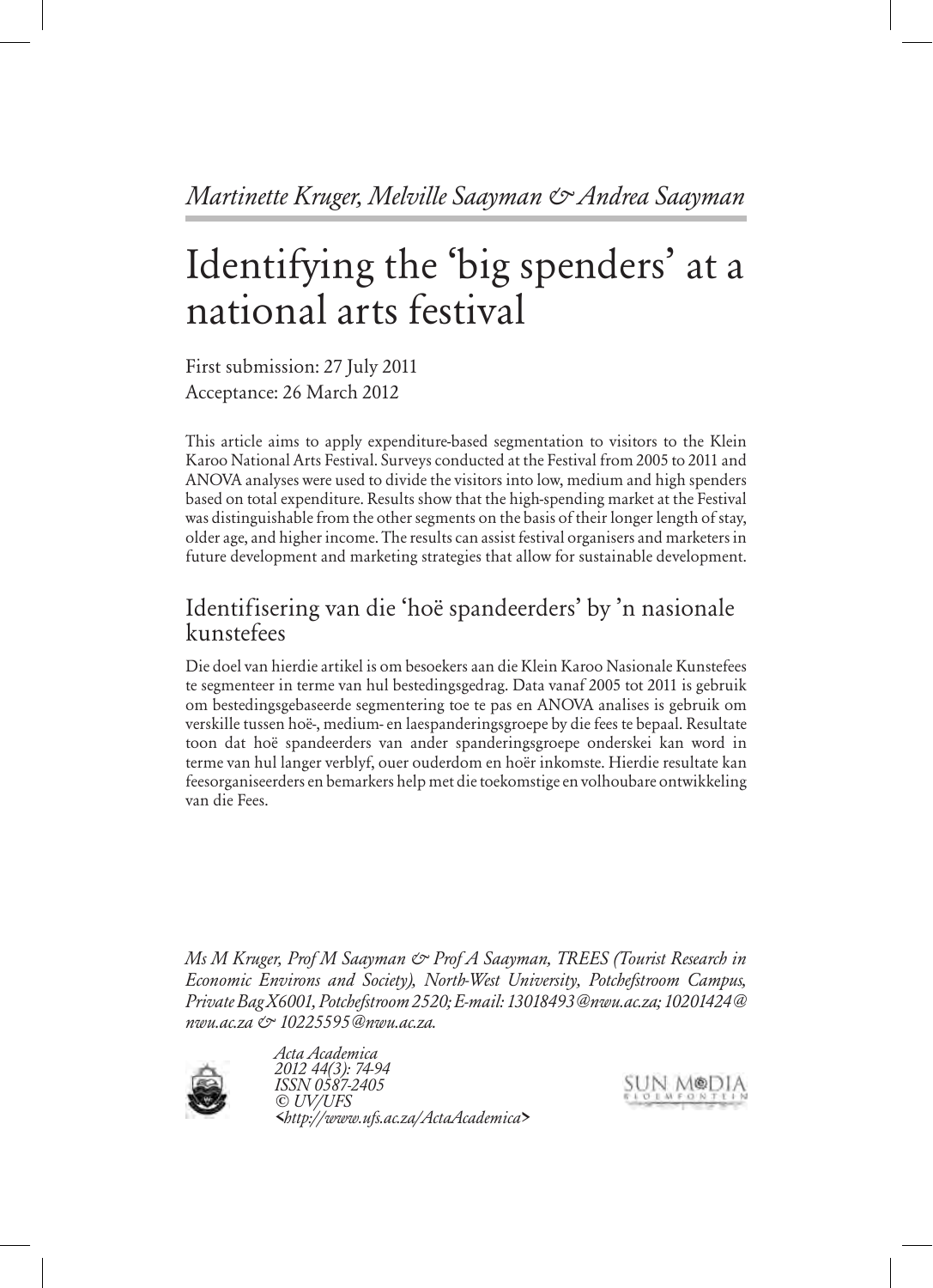# Identifying the 'big spenders' at a national arts festival

First submission: 27 July 2011 Acceptance: 26 March 2012

This article aims to apply expenditure-based segmentation to visitors to the Klein Karoo National Arts Festival. Surveys conducted at the Festival from 2005 to 2011 and ANOVA analyses were used to divide the visitors into low, medium and high spenders based on total expenditure. Results show that the high-spending market at the Festival was distinguishable from the other segments on the basis of their longer length of stay, older age, and higher income. The results can assist festival organisers and marketers in future development and marketing strategies that allow for sustainable development.

# Identifisering van die 'hoë spandeerders' by 'n nasionale kunstefees

Die doel van hierdie artikel is om besoekers aan die Klein Karoo Nasionale Kunstefees te segmenteer in terme van hul bestedingsgedrag. Data vanaf 2005 tot 2011 is gebruik om bestedingsgebaseerde segmentering toe te pas en ANOVA analises is gebruik om verskille tussen hoë-, medium- en laespanderingsgroepe by die fees te bepaal. Resultate toon dat hoë spandeerders van ander spanderingsgroepe onderskei kan word in terme van hul langer verblyf, ouer ouderdom en hoër inkomste. Hierdie resultate kan feesorganiseerders en bemarkers help met die toekomstige en volhoubare ontwikkeling van die Fees.

*Ms M Kruger, Prof M Saayman & Prof A Saayman, TREES (Tourist Research in Economic Environs and Society), North-West University, Potchefstroom Campus, Private Bag X6001, Potchefstroom 2520; E-mail: 13018493@nwu.ac.za; 10201424@ nwu.ac.za & 10225595@nwu.ac.za.*



*Acta Academica 2012 44(3): 74-94 ISSN 0587-2405 © UV/UFS <http://www.ufs.ac.za/ActaAcademica>*

SUN MODIA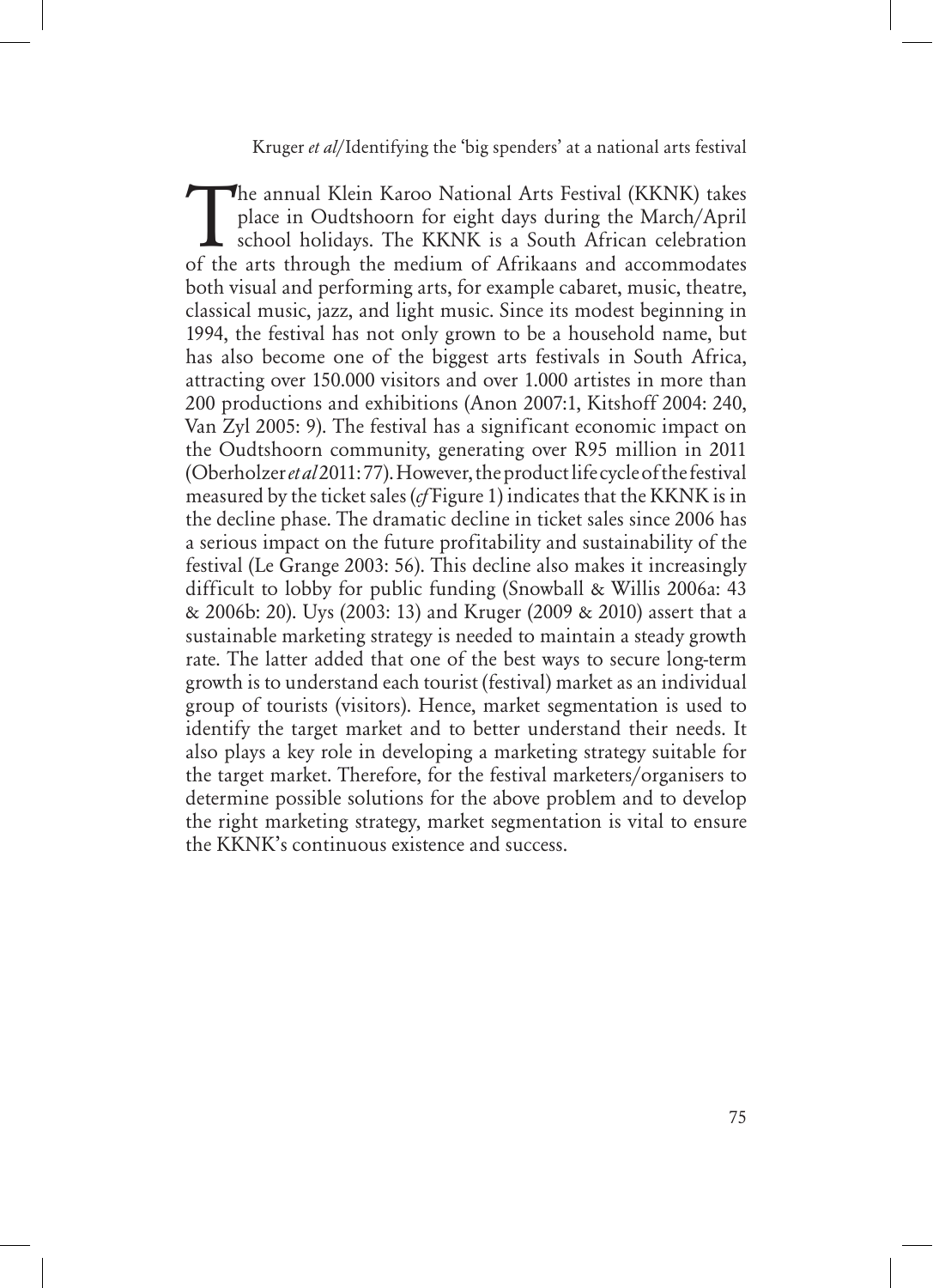The annual Klein Karoo National Arts Festival (KKNK) takes place in Oudtshoorn for eight days during the March/April school holidays. The KKNK is a South African celebration of the arts through the medium of Afrikaans and place in Oudtshoorn for eight days during the March/April of the arts through the medium of Afrikaans and accommodates both visual and performing arts, for example cabaret, music, theatre, classical music, jazz, and light music. Since its modest beginning in 1994, the festival has not only grown to be a household name, but has also become one of the biggest arts festivals in South Africa, attracting over 150.000 visitors and over 1.000 artistes in more than 200 productions and exhibitions (Anon 2007:1, Kitshoff 2004: 240, Van Zyl 2005: 9). The festival has a significant economic impact on the Oudtshoorn community, generating over R95 million in 2011 (Oberholzer *et al* 2011: 77). However, the product life cycle of the festival measured by the ticket sales (*cf* Figure 1) indicates that the KKNK is in the decline phase. The dramatic decline in ticket sales since 2006 has a serious impact on the future profitability and sustainability of the festival (Le Grange 2003: 56). This decline also makes it increasingly difficult to lobby for public funding (Snowball & Willis 2006a: 43 & 2006b: 20). Uys (2003: 13) and Kruger (2009 & 2010) assert that a sustainable marketing strategy is needed to maintain a steady growth rate. The latter added that one of the best ways to secure long-term growth is to understand each tourist (festival) market as an individual group of tourists (visitors). Hence, market segmentation is used to identify the target market and to better understand their needs. It also plays a key role in developing a marketing strategy suitable for the target market. Therefore, for the festival marketers/organisers to determine possible solutions for the above problem and to develop the right marketing strategy, market segmentation is vital to ensure the KKNK's continuous existence and success.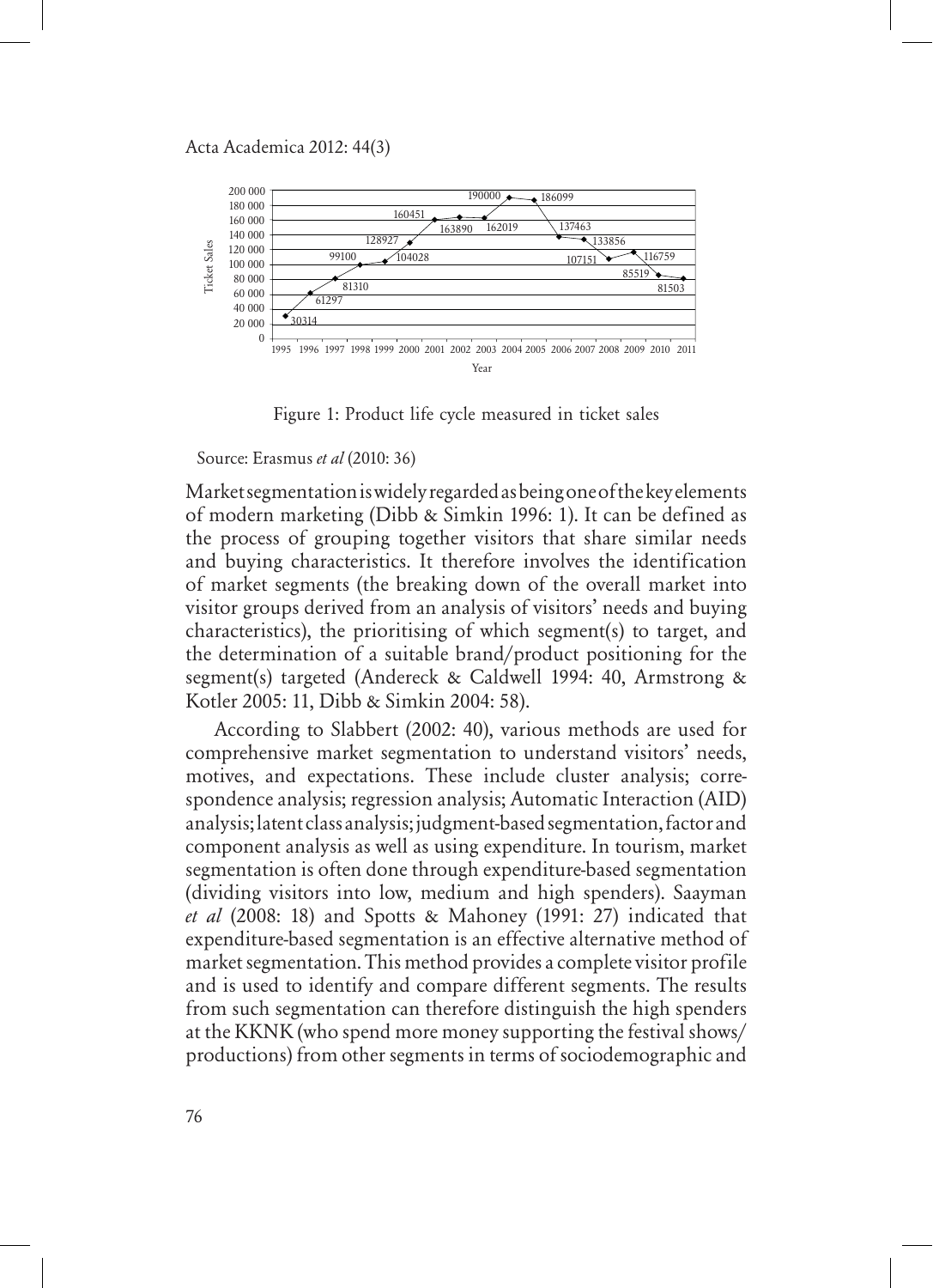

Figure 1: Product life cycle measured in ticket sales

Source: Erasmus *et al* (2010: 36)

Market segmentation is widely regarded as being one of the key elements of modern marketing (Dibb & Simkin 1996: 1). It can be defined as the process of grouping together visitors that share similar needs and buying characteristics. It therefore involves the identification of market segments (the breaking down of the overall market into visitor groups derived from an analysis of visitors' needs and buying characteristics), the prioritising of which segment(s) to target, and the determination of a suitable brand/product positioning for the segment(s) targeted (Andereck & Caldwell 1994: 40, Armstrong & Kotler 2005: 11, Dibb & Simkin 2004: 58).

According to Slabbert (2002: 40), various methods are used for comprehensive market segmentation to understand visitors' needs, motives, and expectations. These include cluster analysis; correspondence analysis; regression analysis; Automatic Interaction (AID) analysis; latent class analysis; judgment-based segmentation, factor and component analysis as well as using expenditure. In tourism, market segmentation is often done through expenditure-based segmentation (dividing visitors into low, medium and high spenders). Saayman *et al* (2008: 18) and Spotts & Mahoney (1991: 27) indicated that expenditure-based segmentation is an effective alternative method of market segmentation. This method provides a complete visitor profile and is used to identify and compare different segments. The results from such segmentation can therefore distinguish the high spenders at the KKNK (who spend more money supporting the festival shows/ productions) from other segments in terms of sociodemographic and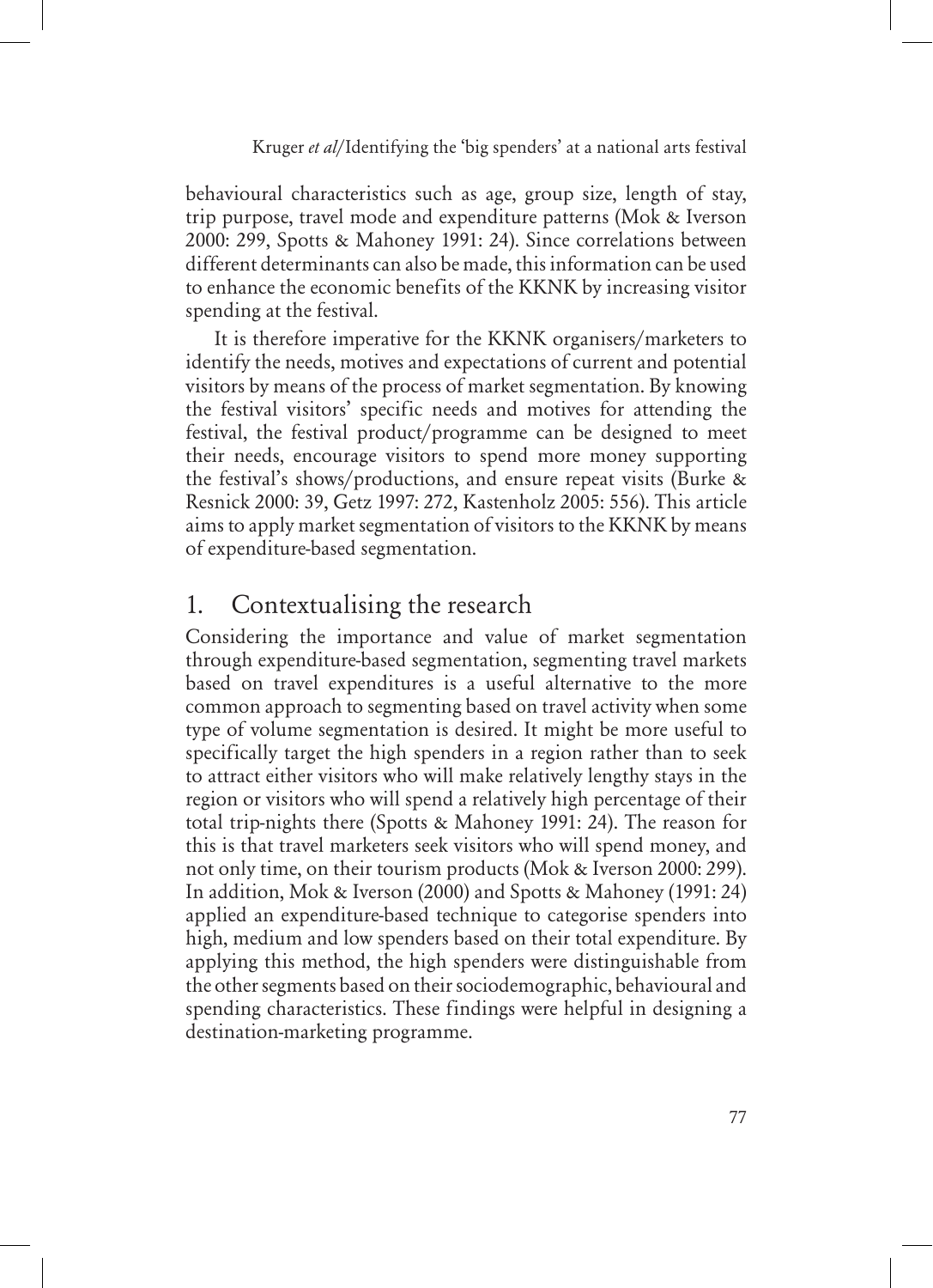behavioural characteristics such as age, group size, length of stay, trip purpose, travel mode and expenditure patterns (Mok & Iverson 2000: 299, Spotts & Mahoney 1991: 24). Since correlations between different determinants can also be made, this information can be used to enhance the economic benefits of the KKNK by increasing visitor spending at the festival.

It is therefore imperative for the KKNK organisers/marketers to identify the needs, motives and expectations of current and potential visitors by means of the process of market segmentation. By knowing the festival visitors' specific needs and motives for attending the festival, the festival product/programme can be designed to meet their needs, encourage visitors to spend more money supporting the festival's shows/productions, and ensure repeat visits (Burke & Resnick 2000: 39, Getz 1997: 272, Kastenholz 2005: 556). This article aims to apply market segmentation of visitors to the KKNK by means of expenditure-based segmentation.

# 1. Contextualising the research

Considering the importance and value of market segmentation through expenditure-based segmentation, segmenting travel markets based on travel expenditures is a useful alternative to the more common approach to segmenting based on travel activity when some type of volume segmentation is desired. It might be more useful to specifically target the high spenders in a region rather than to seek to attract either visitors who will make relatively lengthy stays in the region or visitors who will spend a relatively high percentage of their total trip-nights there (Spotts & Mahoney 1991: 24). The reason for this is that travel marketers seek visitors who will spend money, and not only time, on their tourism products (Mok & Iverson 2000: 299). In addition, Mok & Iverson (2000) and Spotts & Mahoney (1991: 24) applied an expenditure-based technique to categorise spenders into high, medium and low spenders based on their total expenditure. By applying this method, the high spenders were distinguishable from the other segments based on their sociodemographic, behavioural and spending characteristics. These findings were helpful in designing a destination-marketing programme.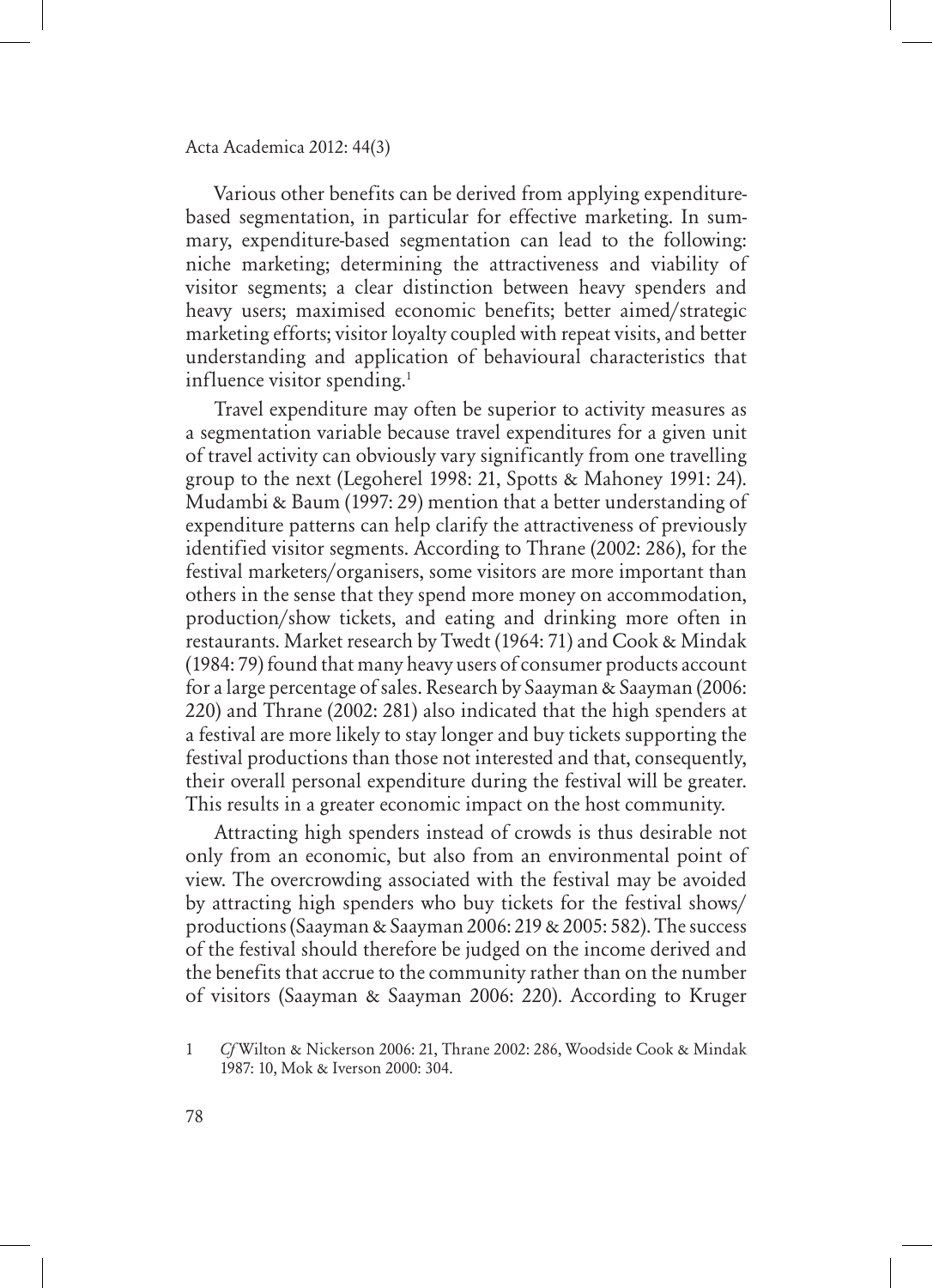Various other benefits can be derived from applying expenditurebased segmentation, in particular for effective marketing. In summary, expenditure-based segmentation can lead to the following: niche marketing; determining the attractiveness and viability of visitor segments; a clear distinction between heavy spenders and heavy users; maximised economic benefits; better aimed/strategic marketing efforts; visitor loyalty coupled with repeat visits, and better understanding and application of behavioural characteristics that influence visitor spending.<sup>1</sup>

Travel expenditure may often be superior to activity measures as a segmentation variable because travel expenditures for a given unit of travel activity can obviously vary significantly from one travelling group to the next (Legoherel 1998: 21, Spotts & Mahoney 1991: 24). Mudambi & Baum (1997: 29) mention that a better understanding of expenditure patterns can help clarify the attractiveness of previously identified visitor segments. According to Thrane (2002: 286), for the festival marketers/organisers, some visitors are more important than others in the sense that they spend more money on accommodation, production/show tickets, and eating and drinking more often in restaurants. Market research by Twedt (1964: 71) and Cook & Mindak (1984: 79) found that many heavy users of consumer products account for a large percentage of sales. Research by Saayman & Saayman (2006: 220) and Thrane (2002: 281) also indicated that the high spenders at a festival are more likely to stay longer and buy tickets supporting the festival productions than those not interested and that, consequently, their overall personal expenditure during the festival will be greater. This results in a greater economic impact on the host community.

Attracting high spenders instead of crowds is thus desirable not only from an economic, but also from an environmental point of view. The overcrowding associated with the festival may be avoided by attracting high spenders who buy tickets for the festival shows/ productions (Saayman & Saayman 2006: 219 & 2005: 582). The success of the festival should therefore be judged on the income derived and the benefits that accrue to the community rather than on the number of visitors (Saayman & Saayman 2006: 220). According to Kruger

<sup>1</sup> *Cf* Wilton & Nickerson 2006: 21, Thrane 2002: 286, Woodside Cook & Mindak 1987: 10, Mok & Iverson 2000: 304.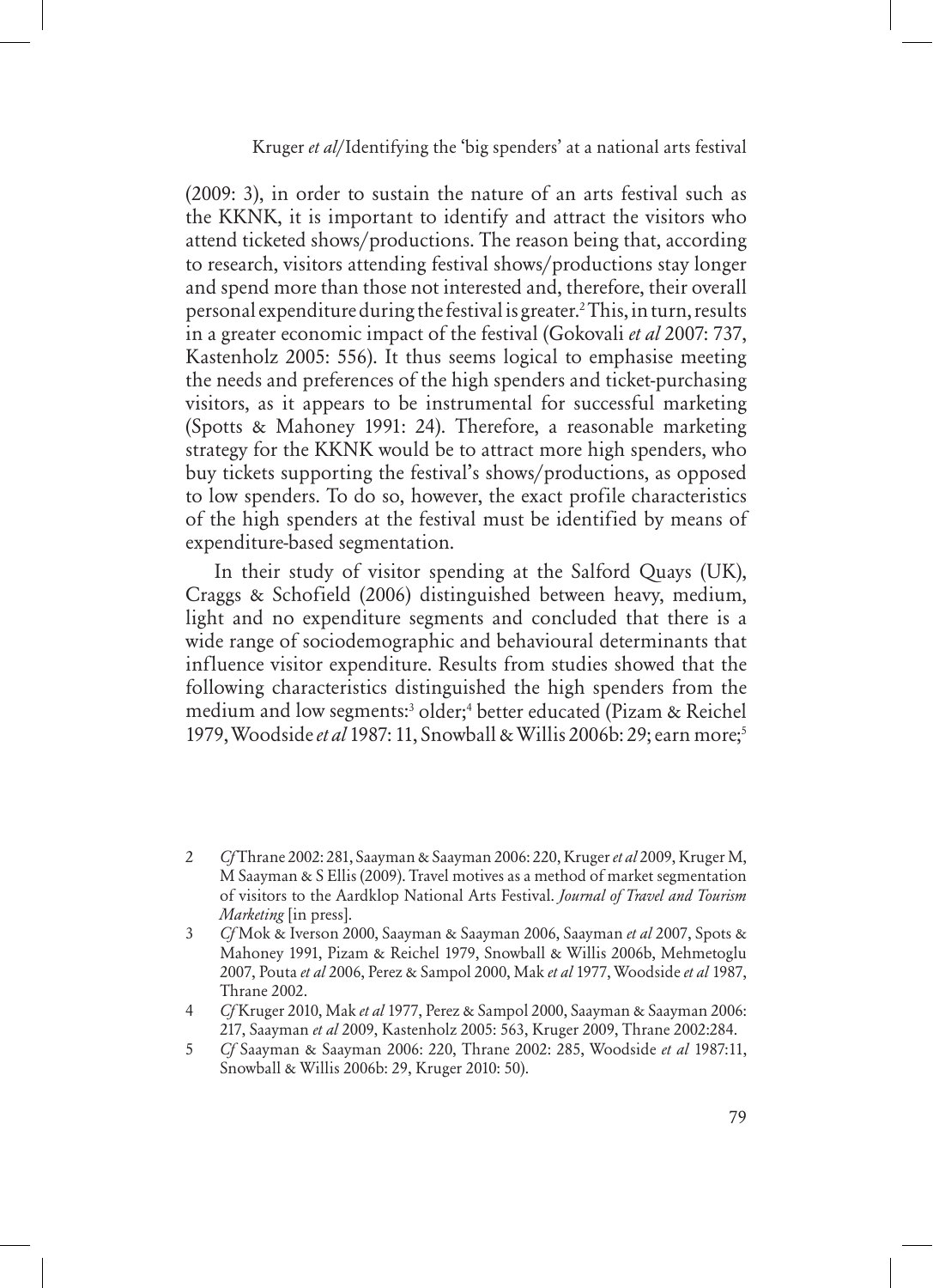(2009: 3), in order to sustain the nature of an arts festival such as the KKNK, it is important to identify and attract the visitors who attend ticketed shows/productions. The reason being that, according to research, visitors attending festival shows/productions stay longer and spend more than those not interested and, therefore, their overall personal expenditure during the festival is greater.2 This, in turn, results in a greater economic impact of the festival (Gokovali *et al* 2007: 737, Kastenholz 2005: 556). It thus seems logical to emphasise meeting the needs and preferences of the high spenders and ticket-purchasing visitors, as it appears to be instrumental for successful marketing (Spotts & Mahoney 1991: 24). Therefore, a reasonable marketing strategy for the KKNK would be to attract more high spenders, who buy tickets supporting the festival's shows/productions, as opposed to low spenders. To do so, however, the exact profile characteristics of the high spenders at the festival must be identified by means of expenditure-based segmentation.

In their study of visitor spending at the Salford Quays (UK), Craggs & Schofield (2006) distinguished between heavy, medium, light and no expenditure segments and concluded that there is a wide range of sociodemographic and behavioural determinants that influence visitor expenditure. Results from studies showed that the following characteristics distinguished the high spenders from the medium and low segments:3 older;4 better educated (Pizam & Reichel 1979, Woodside *et al* 1987: 11, Snowball & Willis 2006b: 29; earn more;5

<sup>2</sup> *Cf* Thrane 2002: 281, Saayman & Saayman 2006: 220, Kruger *et al* 2009, Kruger M, M Saayman & S Ellis (2009). Travel motives as a method of market segmentation of visitors to the Aardklop National Arts Festival. *Journal of Travel and Tourism Marketing* [in press].

<sup>3</sup> *Cf* Mok & Iverson 2000, Saayman & Saayman 2006, Saayman *et al* 2007, Spots & Mahoney 1991, Pizam & Reichel 1979, Snowball & Willis 2006b, Mehmetoglu 2007, Pouta *et al* 2006, Perez & Sampol 2000, Mak *et al* 1977, Woodside *et al* 1987, Thrane 2002.

<sup>4</sup> *Cf* Kruger 2010, Mak *et al* 1977, Perez & Sampol 2000, Saayman & Saayman 2006: 217, Saayman *et al* 2009, Kastenholz 2005: 563, Kruger 2009, Thrane 2002:284.

<sup>5</sup> *Cf* Saayman & Saayman 2006: 220, Thrane 2002: 285, Woodside *et al* 1987:11, Snowball & Willis 2006b: 29, Kruger 2010: 50).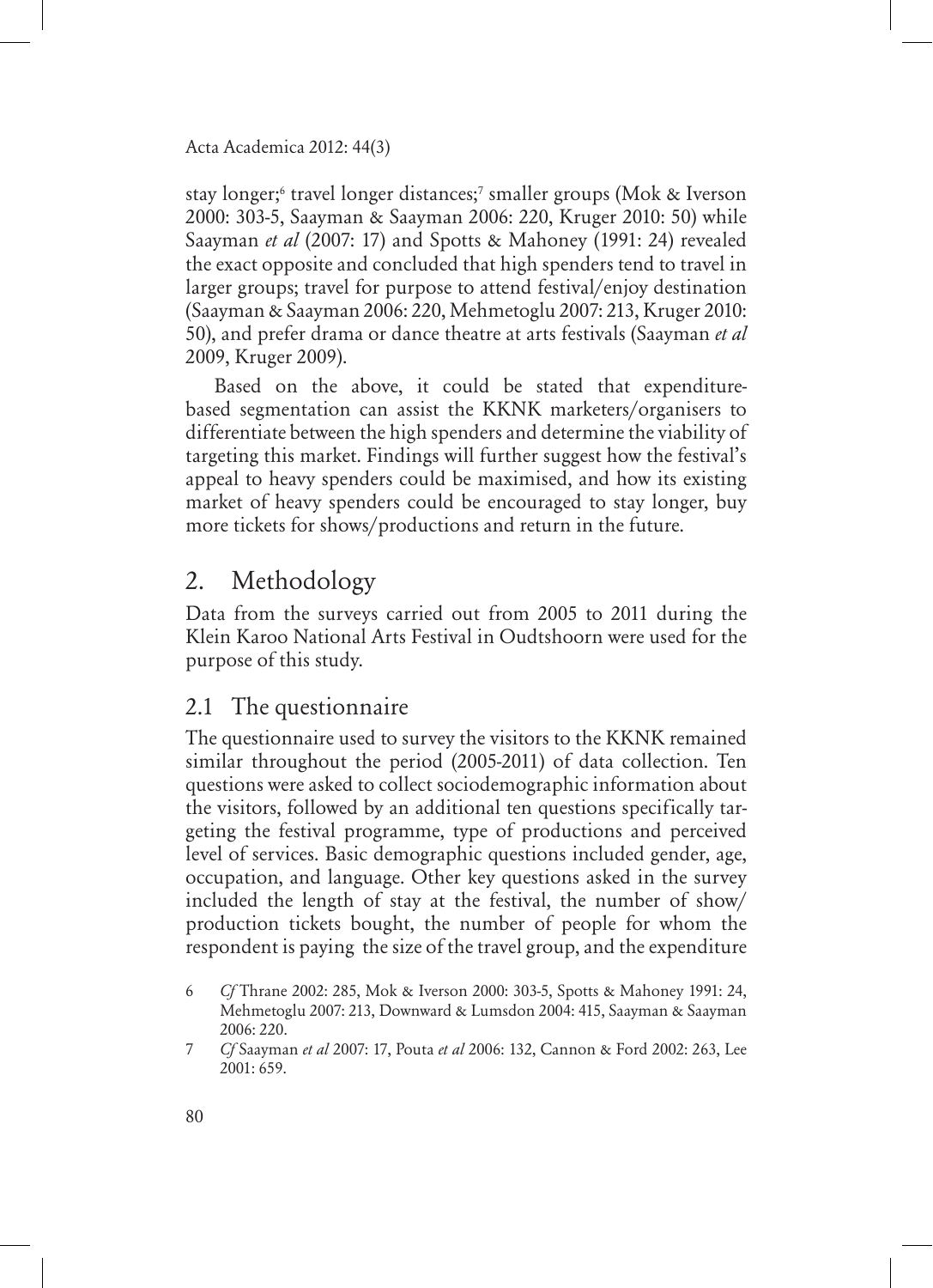stay longer;6 travel longer distances;7 smaller groups (Mok & Iverson 2000: 303-5, Saayman & Saayman 2006: 220, Kruger 2010: 50) while Saayman *et al* (2007: 17) and Spotts & Mahoney (1991: 24) revealed the exact opposite and concluded that high spenders tend to travel in larger groups; travel for purpose to attend festival/enjoy destination (Saayman & Saayman 2006: 220, Mehmetoglu 2007: 213, Kruger 2010: 50), and prefer drama or dance theatre at arts festivals (Saayman *et al* 2009, Kruger 2009).

Based on the above, it could be stated that expenditurebased segmentation can assist the KKNK marketers/organisers to differentiate between the high spenders and determine the viability of targeting this market. Findings will further suggest how the festival's appeal to heavy spenders could be maximised, and how its existing market of heavy spenders could be encouraged to stay longer, buy more tickets for shows/productions and return in the future.

# 2. Methodology

Data from the surveys carried out from 2005 to 2011 during the Klein Karoo National Arts Festival in Oudtshoorn were used for the purpose of this study.

# 2.1 The questionnaire

The questionnaire used to survey the visitors to the KKNK remained similar throughout the period (2005-2011) of data collection. Ten questions were asked to collect sociodemographic information about the visitors, followed by an additional ten questions specifically targeting the festival programme, type of productions and perceived level of services. Basic demographic questions included gender, age, occupation, and language. Other key questions asked in the survey included the length of stay at the festival, the number of show/ production tickets bought, the number of people for whom the respondent is paying the size of the travel group, and the expenditure

<sup>6</sup> *Cf* Thrane 2002: 285, Mok & Iverson 2000: 303-5, Spotts & Mahoney 1991: 24, Mehmetoglu 2007: 213, Downward & Lumsdon 2004: 415, Saayman & Saayman 2006: 220.

<sup>7</sup> *Cf* Saayman *et al* 2007: 17, Pouta *et al* 2006: 132, Cannon & Ford 2002: 263, Lee 2001: 659.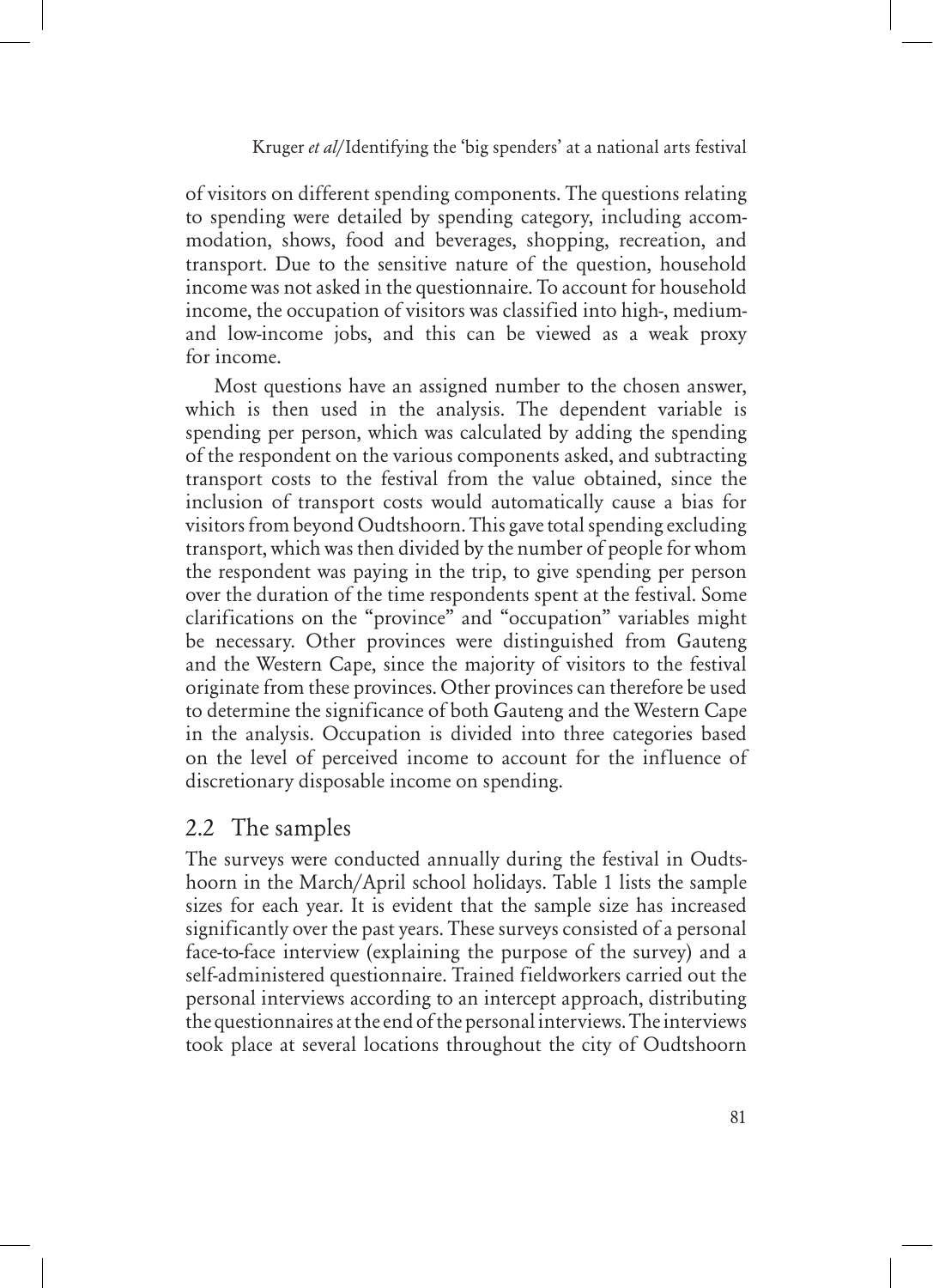of visitors on different spending components. The questions relating to spending were detailed by spending category, including accommodation, shows, food and beverages, shopping, recreation, and transport. Due to the sensitive nature of the question, household income was not asked in the questionnaire. To account for household income, the occupation of visitors was classified into high-, mediumand low-income jobs, and this can be viewed as a weak proxy for income.

Most questions have an assigned number to the chosen answer, which is then used in the analysis. The dependent variable is spending per person, which was calculated by adding the spending of the respondent on the various components asked, and subtracting transport costs to the festival from the value obtained, since the inclusion of transport costs would automatically cause a bias for visitors from beyond Oudtshoorn. This gave total spending excluding transport, which was then divided by the number of people for whom the respondent was paying in the trip, to give spending per person over the duration of the time respondents spent at the festival. Some clarifications on the "province" and "occupation" variables might be necessary. Other provinces were distinguished from Gauteng and the Western Cape, since the majority of visitors to the festival originate from these provinces. Other provinces can therefore be used to determine the significance of both Gauteng and the Western Cape in the analysis. Occupation is divided into three categories based on the level of perceived income to account for the influence of discretionary disposable income on spending.

### 2.2 The samples

The surveys were conducted annually during the festival in Oudtshoorn in the March/April school holidays. Table 1 lists the sample sizes for each year. It is evident that the sample size has increased significantly over the past years. These surveys consisted of a personal face-to-face interview (explaining the purpose of the survey) and a self-administered questionnaire. Trained fieldworkers carried out the personal interviews according to an intercept approach, distributing the questionnaires at the end of the personal interviews. The interviews took place at several locations throughout the city of Oudtshoorn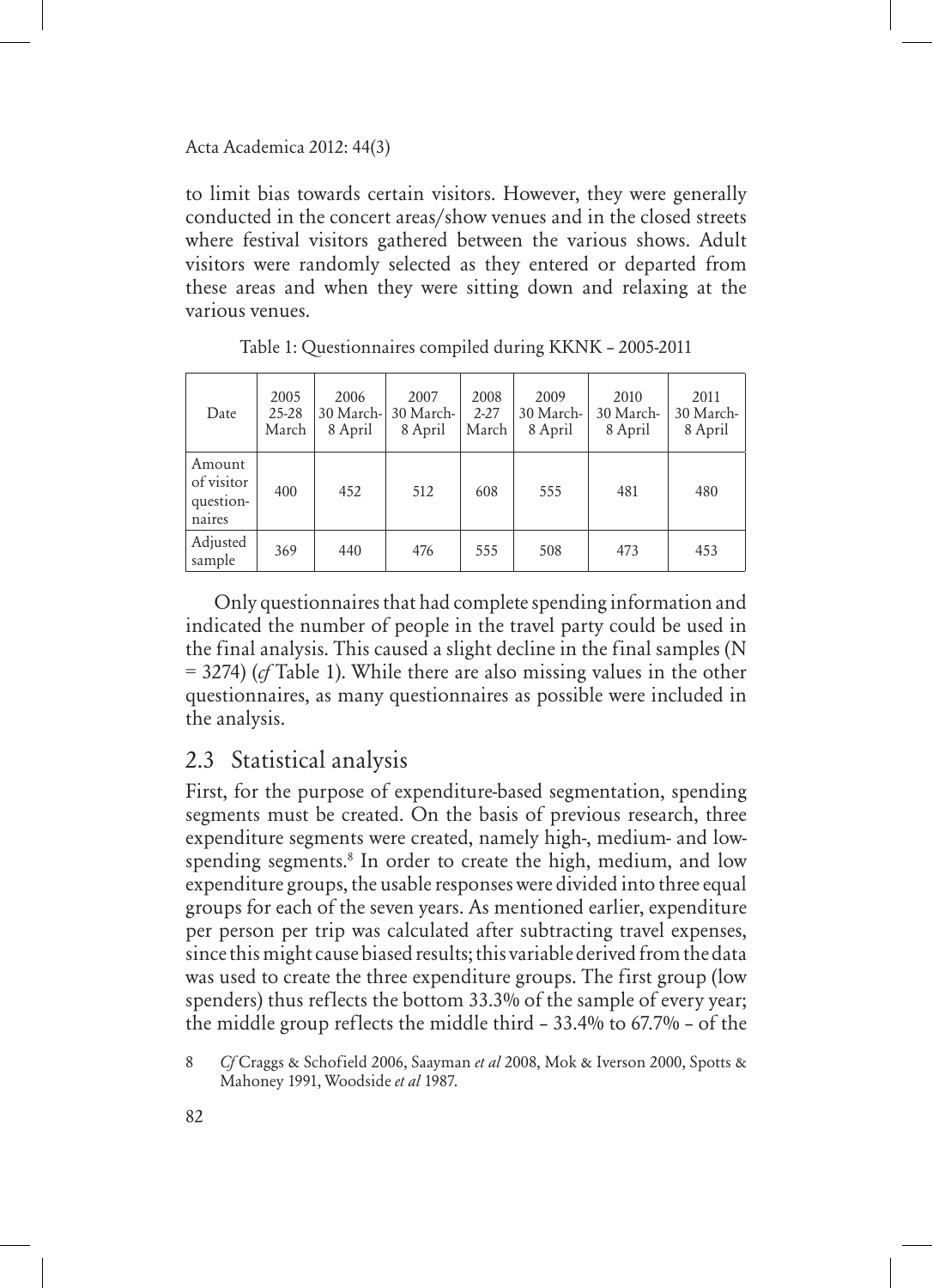to limit bias towards certain visitors. However, they were generally conducted in the concert areas/show venues and in the closed streets where festival visitors gathered between the various shows. Adult visitors were randomly selected as they entered or departed from these areas and when they were sitting down and relaxing at the various venues.

| Date                                        | 2005<br>$25 - 28$<br>March | 2006<br>30 March-<br>8 April | 2007<br>30 March-<br>8 April | 2008<br>$2 - 27$<br>March | 2009<br>30 March-<br>8 April | 2010<br>30 March-<br>8 April | 2011<br>30 March-<br>8 April |
|---------------------------------------------|----------------------------|------------------------------|------------------------------|---------------------------|------------------------------|------------------------------|------------------------------|
| Amount<br>of visitor<br>question-<br>naires | 400                        | 452                          | 512                          | 608                       | 555                          | 481                          | 480                          |
| Adjusted<br>sample                          | 369                        | 440                          | 476                          | 555                       | 508                          | 473                          | 453                          |

Table 1: Questionnaires compiled during KKNK – 2005-2011

Only questionnaires that had complete spending information and indicated the number of people in the travel party could be used in the final analysis. This caused a slight decline in the final samples (N = 3274) (*cf* Table 1). While there are also missing values in the other questionnaires, as many questionnaires as possible were included in the analysis.

# 2.3 Statistical analysis

First, for the purpose of expenditure-based segmentation, spending segments must be created. On the basis of previous research, three expenditure segments were created, namely high-, medium- and lowspending segments.<sup>8</sup> In order to create the high, medium, and low expenditure groups, the usable responses were divided into three equal groups for each of the seven years. As mentioned earlier, expenditure per person per trip was calculated after subtracting travel expenses, since this might cause biased results; this variable derived from the data was used to create the three expenditure groups. The first group (low spenders) thus reflects the bottom 33.3% of the sample of every year; the middle group reflects the middle third – 33.4% to 67.7% – of the

<sup>8</sup> *Cf* Craggs & Schofield 2006, Saayman *et al* 2008, Mok & Iverson 2000, Spotts & Mahoney 1991, Woodside *et al* 1987.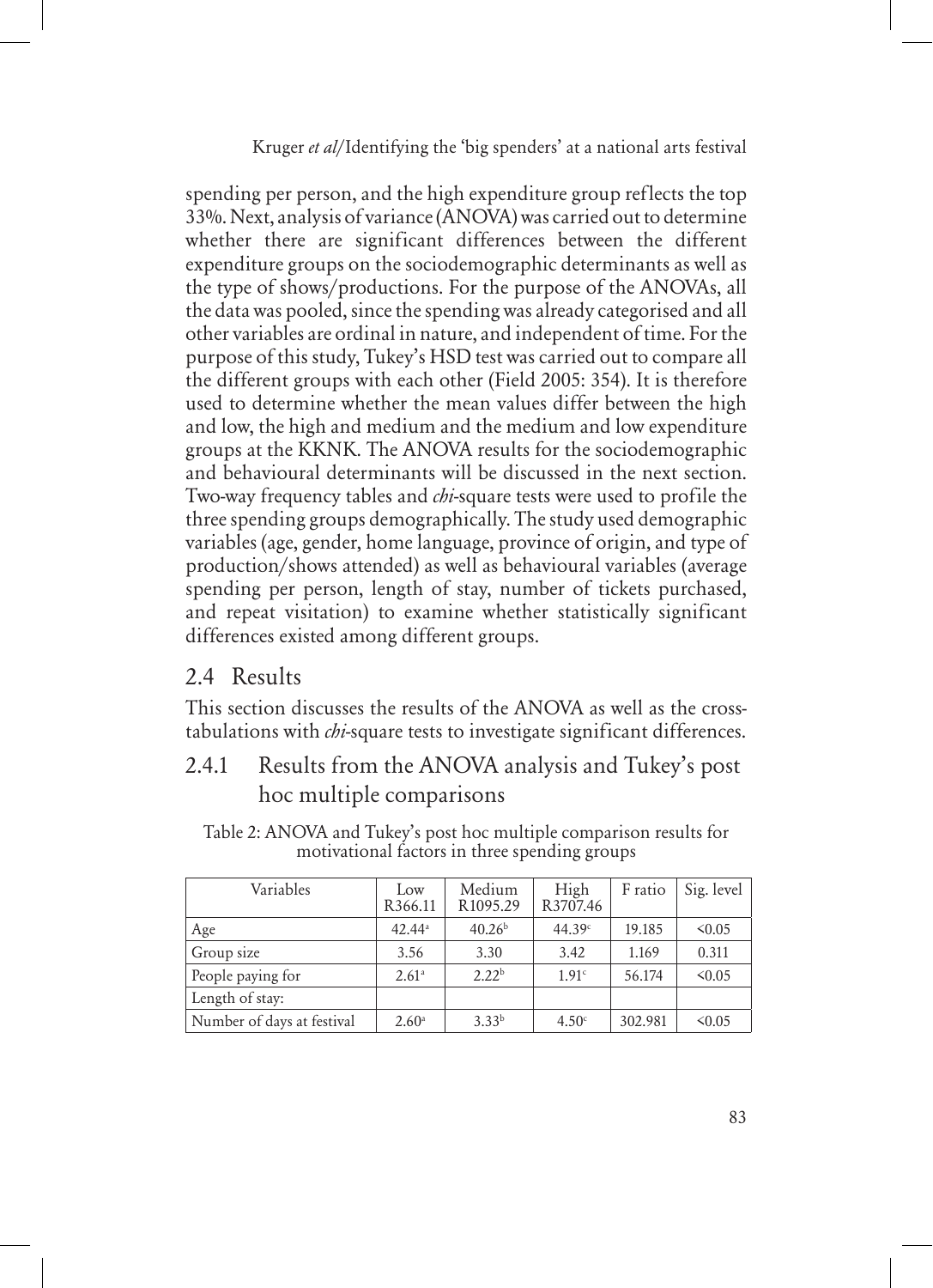spending per person, and the high expenditure group reflects the top 33%. Next, analysis of variance (ANOVA) was carried out to determine whether there are significant differences between the different expenditure groups on the sociodemographic determinants as well as the type of shows/productions. For the purpose of the ANOVAs, all the data was pooled, since the spending was already categorised and all other variables are ordinal in nature, and independent of time. For the purpose of this study, Tukey's HSD test was carried out to compare all the different groups with each other (Field 2005: 354). It is therefore used to determine whether the mean values differ between the high and low, the high and medium and the medium and low expenditure groups at the KKNK. The ANOVA results for the sociodemographic and behavioural determinants will be discussed in the next section. Two-way frequency tables and *chi*-square tests were used to profile the three spending groups demographically. The study used demographic variables (age, gender, home language, province of origin, and type of production/shows attended) as well as behavioural variables (average spending per person, length of stay, number of tickets purchased, and repeat visitation) to examine whether statistically significant differences existed among different groups.

### 2.4 Results

This section discusses the results of the ANOVA as well as the crosstabulations with *chi*-square tests to investigate significant differences.

### 2.4.1 Results from the ANOVA analysis and Tukey's post hoc multiple comparisons

Table 2: ANOVA and Tukey's post hoc multiple comparison results for motivational factors in three spending groups

| Variables                  | Low<br>R366.11       | Medium<br>R1095.29 | High<br>R3707.46  | F ratio | Sig. level  |
|----------------------------|----------------------|--------------------|-------------------|---------|-------------|
| Age                        | $42.44$ <sup>a</sup> | 40.26 <sup>b</sup> | 44.39c            | 19.185  | $\leq 0.05$ |
| Group size                 | 3.56                 | 3.30               | 3.42              | 1.169   | 0.311       |
| People paying for          | 2.61 <sup>a</sup>    | 2.22 <sup>b</sup>  | 1.91c             | 56.174  | < 0.05      |
| Length of stay:            |                      |                    |                   |         |             |
| Number of days at festival | 2.60 <sup>a</sup>    | 3.33 <sup>b</sup>  | 4.50 <sup>c</sup> | 302.981 | $\leq 0.05$ |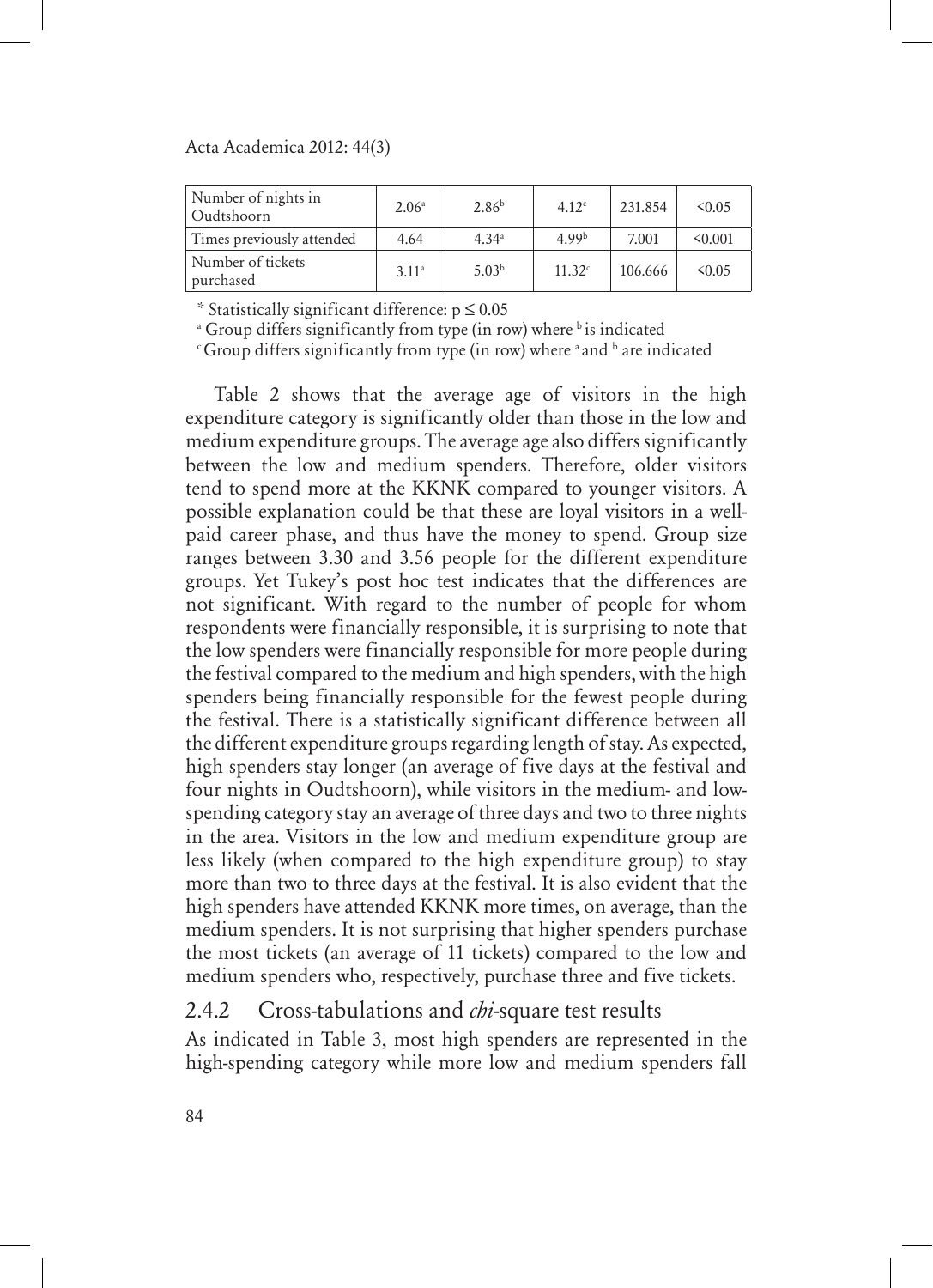| Number of nights in<br>Oudtshoorn | 2.06 <sup>a</sup> | 2.86 <sup>b</sup> | 4.12 <sup>c</sup> | 231.854 | 50.05   |
|-----------------------------------|-------------------|-------------------|-------------------|---------|---------|
| Times previously attended         | 4.64              | 4.34 <sup>a</sup> | 499 <sup>b</sup>  | 7.001   | < 0.001 |
| Number of tickets<br>purchased    | 3.11 <sup>a</sup> | 5.03 <sup>b</sup> | 11.32c            | 106.666 | 50.05   |

\* Statistically significant difference: p ≤ 0.05

<sup>a</sup> Group differs significantly from type (in row) where <sup>b</sup> is indicated

 $\mathrm{c}\,$  Group differs significantly from type (in row) where  $\mathrm{^a}\,$  and  $\mathrm{^b}\,$  are indicated

Table 2 shows that the average age of visitors in the high expenditure category is significantly older than those in the low and medium expenditure groups. The average age also differs significantly between the low and medium spenders. Therefore, older visitors tend to spend more at the KKNK compared to younger visitors. A possible explanation could be that these are loyal visitors in a wellpaid career phase, and thus have the money to spend. Group size ranges between 3.30 and 3.56 people for the different expenditure groups. Yet Tukey's post hoc test indicates that the differences are not significant. With regard to the number of people for whom respondents were financially responsible, it is surprising to note that the low spenders were financially responsible for more people during the festival compared to the medium and high spenders, with the high spenders being financially responsible for the fewest people during the festival. There is a statistically significant difference between all the different expenditure groups regarding length of stay. As expected, high spenders stay longer (an average of five days at the festival and four nights in Oudtshoorn), while visitors in the medium- and lowspending category stay an average of three days and two to three nights in the area. Visitors in the low and medium expenditure group are less likely (when compared to the high expenditure group) to stay more than two to three days at the festival. It is also evident that the high spenders have attended KKNK more times, on average, than the medium spenders. It is not surprising that higher spenders purchase the most tickets (an average of 11 tickets) compared to the low and medium spenders who, respectively, purchase three and five tickets.

### 2.4.2 Cross-tabulations and *chi*-square test results

As indicated in Table 3, most high spenders are represented in the high-spending category while more low and medium spenders fall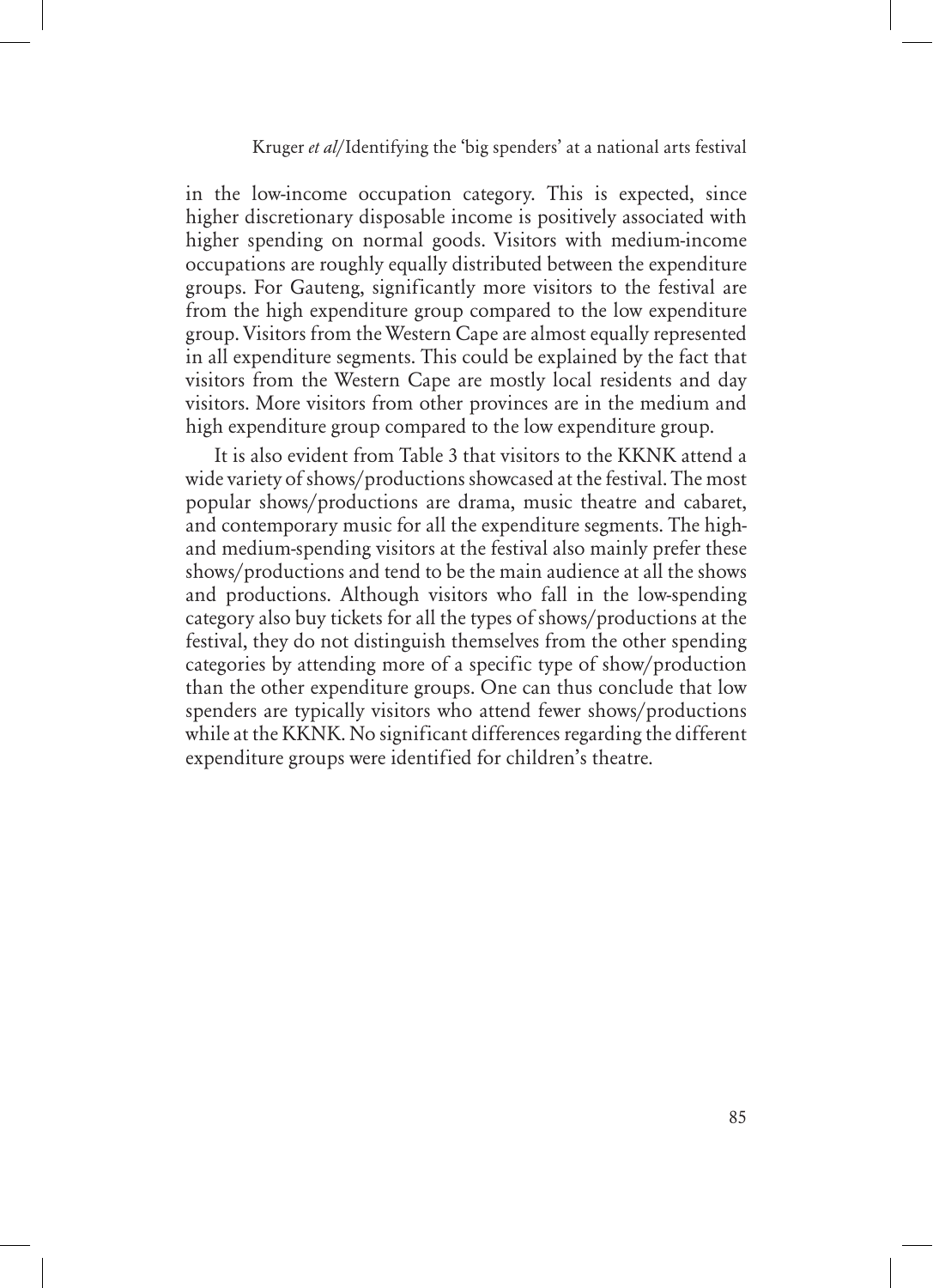in the low-income occupation category. This is expected, since higher discretionary disposable income is positively associated with higher spending on normal goods. Visitors with medium-income occupations are roughly equally distributed between the expenditure groups. For Gauteng, significantly more visitors to the festival are from the high expenditure group compared to the low expenditure group. Visitors from the Western Cape are almost equally represented in all expenditure segments. This could be explained by the fact that visitors from the Western Cape are mostly local residents and day visitors. More visitors from other provinces are in the medium and high expenditure group compared to the low expenditure group.

It is also evident from Table 3 that visitors to the KKNK attend a wide variety of shows/productions showcased at the festival. The most popular shows/productions are drama, music theatre and cabaret, and contemporary music for all the expenditure segments. The highand medium-spending visitors at the festival also mainly prefer these shows/productions and tend to be the main audience at all the shows and productions. Although visitors who fall in the low-spending category also buy tickets for all the types of shows/productions at the festival, they do not distinguish themselves from the other spending categories by attending more of a specific type of show/production than the other expenditure groups. One can thus conclude that low spenders are typically visitors who attend fewer shows/productions while at the KKNK. No significant differences regarding the different expenditure groups were identified for children's theatre.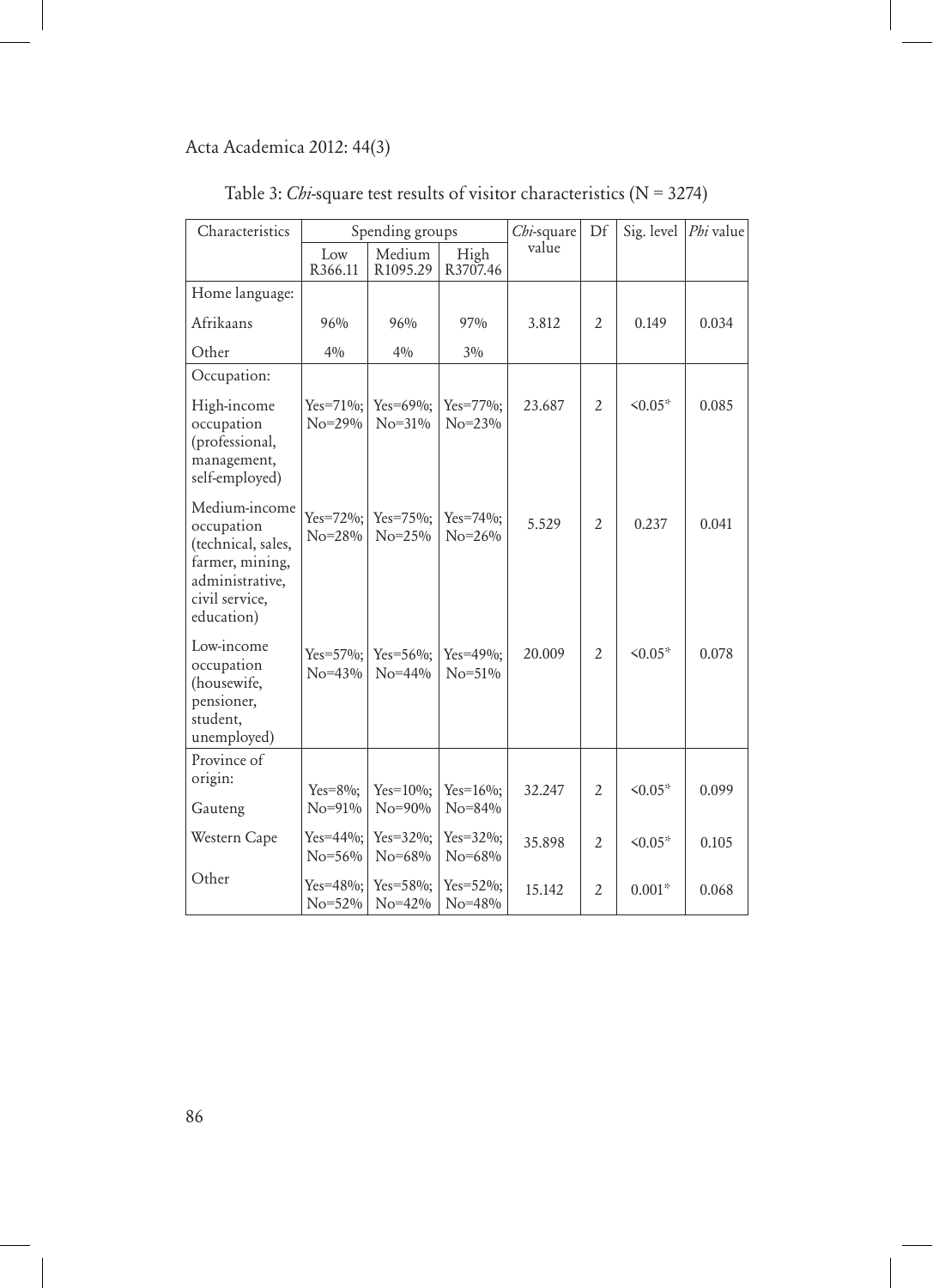| Characteristics                                                                                                         | Spending groups               |                              | Chi-square                    | Df     | Sig. level     | Phi value    |       |
|-------------------------------------------------------------------------------------------------------------------------|-------------------------------|------------------------------|-------------------------------|--------|----------------|--------------|-------|
|                                                                                                                         | Low<br>R366.11                | Medium<br>R1095.29           | High<br>R3707.46              | value  |                |              |       |
| Home language:                                                                                                          |                               |                              |                               |        |                |              |       |
| Afrikaans                                                                                                               | $96\%$                        | 96%                          | 97%                           | 3.812  | $\overline{2}$ | 0.149        | 0.034 |
| Other                                                                                                                   | 40/0                          | 40/0                         | 30/0                          |        |                |              |       |
| Occupation:                                                                                                             |                               |                              |                               |        |                |              |       |
| High-income<br>occupation<br>(professional,<br>management,<br>self-employed)                                            | $Yes=71\%;$<br>$No = 29\%$    | Yes= $69\%$ ;<br>$No = 31\%$ | Yes=77%;<br>$No = 23\%$       | 23.687 | $\overline{2}$ | $50.05*$     | 0.085 |
| Medium-income<br>occupation<br>(technical, sales,<br>farmer, mining,<br>administrative,<br>civil service,<br>education) | $Yes=72\%$ :<br>$No = 28%$    | Yes=75%;<br>$No = 25\%$      | $Yes=74\%;$<br>$No = 26\%$    | 5.529  | $\overline{2}$ | 0.237        | 0.041 |
| Low-income<br>occupation<br>(housewife,<br>pensioner,<br>student,<br>unemployed)                                        | $Yes = 57\%$ :<br>$No = 43\%$ | Yes= $56\%$ ;<br>$No = 44\%$ | $Yes=49\%$ :<br>$No = 51\%$   | 20.009 | $\overline{2}$ | $50.05*$     | 0.078 |
| Province of<br>origin:                                                                                                  | $Yes = 8\%;$                  | $Yes=10\%;$                  | $Yes=16\%;$                   | 32.247 | $\overline{2}$ | $50.05*$     | 0.099 |
| Gauteng                                                                                                                 | $No = 91\%$                   | $No = 90\%$                  | $No = 84\%$                   |        |                |              |       |
| Western Cape                                                                                                            | $Yes = 44\%$ :<br>$No = 56\%$ | $Yes = 32\%$ :<br>No=68%     | $Yes = 32\%$ :<br>$No = 68\%$ | 35.898 | $\overline{2}$ | $\leq 0.05*$ | 0.105 |
| Other                                                                                                                   | $Yes=48\%;$<br>$No = 52\%$    | $Yes = 58\%;$<br>$No=42\%$   | $Yes = 52\%;$<br>$No = 48%$   | 15.142 | $\overline{2}$ | $0.001*$     | 0.068 |

|  |  | Table 3: <i>Chi</i> -square test results of visitor characteristics ( $N = 3274$ ) |  |
|--|--|------------------------------------------------------------------------------------|--|
|  |  |                                                                                    |  |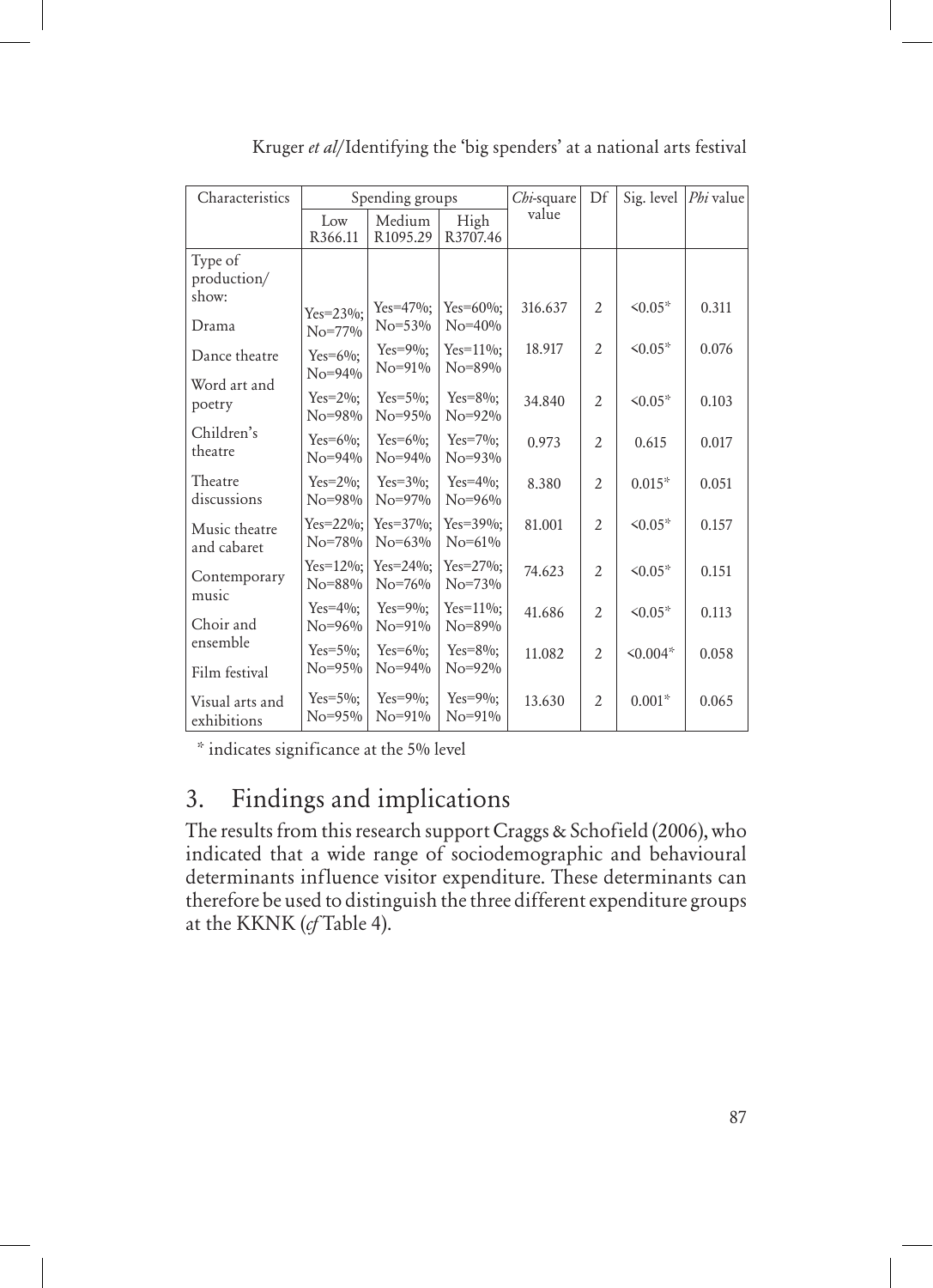| Characteristics                 | Spending groups               |                              | Chi-square                    | Df      | Sig. level     | Phi value     |       |
|---------------------------------|-------------------------------|------------------------------|-------------------------------|---------|----------------|---------------|-------|
|                                 | Low<br>R366.11                | Medium<br>R1095.29           | High<br>R3707.46              | value   |                |               |       |
| Type of<br>production/<br>show: |                               |                              |                               |         |                |               |       |
| Drama                           | $Yes = 23\%$ :<br>$No = 77\%$ | $Yes=47\%;$<br>$No = 53\%$   | $Yes=60\%$ :<br>$No = 40%$    | 316.637 | $\overline{2}$ | $50.05*$      | 0.311 |
| Dance theatre                   | Yes= $6\%$ ;<br>$No = 94\%$   | $Yes=9\%;$<br>$No = 91\%$    | $Yes=11\%;$<br>$No = 89\%$    | 18.917  | $\overline{2}$ | $\leq 0.05*$  | 0.076 |
| Word art and<br>poetry          | $Yes=2\%$ :<br>$No = 98\%$    | $Yes=5\%$ :<br>$No = 95\%$   | $Yes = 8\%$ :<br>$No = 92\%$  | 34.840  | $\overline{2}$ | $50.05*$      | 0.103 |
| Children's<br>theatre           | $Yes=6\%$ :<br>$No = 94\%$    | $Yes=6\%$ :<br>$No = 94\%$   | $Yes=7\%$ :<br>$No = 93\%$    | 0.973   | $\overline{2}$ | 0.615         | 0.017 |
| Theatre<br>discussions          | $Yes=2\%$ :<br>$No = 98\%$    | $Yes=3\%$ :<br>$No = 97\%$   | $Yes=4\%$ :<br>$No = 96%$     | 8.380   | $\overline{2}$ | $0.015*$      | 0.051 |
| Music theatre<br>and cabaret    | $Yes = 22\%;$<br>$No = 78%$   | $Yes=37\%;$<br>$No = 63\%$   | $Yes=39\%;$<br>$No = 61\%$    | 81.001  | $\mathcal{L}$  | $50.05*$      | 0.157 |
| Contemporary<br>music           | $Yes=12\%$ :<br>$No = 88\%$   | $Yes = 24\%$ :<br>$No = 76%$ | $Yes = 27\%$ :<br>$No = 73\%$ | 74.623  | $\overline{2}$ | $50.05*$      | 0.151 |
| Choir and                       | $Yes=4\%$ :<br>$No = 96%$     | $Yes=9\%$ :<br>$No = 91\%$   | $Yes=11\%$ :<br>$No = 89\%$   | 41.686  | $\overline{2}$ | $50.05*$      | 0.113 |
| ensemble<br>Film festival       | $Yes=5\%$ :<br>$No = 95\%$    | $Yes=6\%$ :<br>$No = 94\%$   | $Yes = 8\%$ :<br>$No = 92\%$  | 11.082  | $\overline{2}$ | $\leq 0.004*$ | 0.058 |
| Visual arts and<br>exhibitions  | $Yes=5\%$ :<br>$No = 95\%$    | $Yes=9\%$ :<br>$No = 91\%$   | $Yes=9\%$ :<br>$No = 91\%$    | 13.630  | $\overline{2}$ | $0.001*$      | 0.065 |

Kruger *et al*/Identifying the 'big spenders' at a national arts festival

\* indicates significance at the 5% level

# 3. Findings and implications

The results from this research support Craggs & Schofield (2006), who indicated that a wide range of sociodemographic and behavioural determinants influence visitor expenditure. These determinants can therefore be used to distinguish the three different expenditure groups at the KKNK (*cf* Table 4).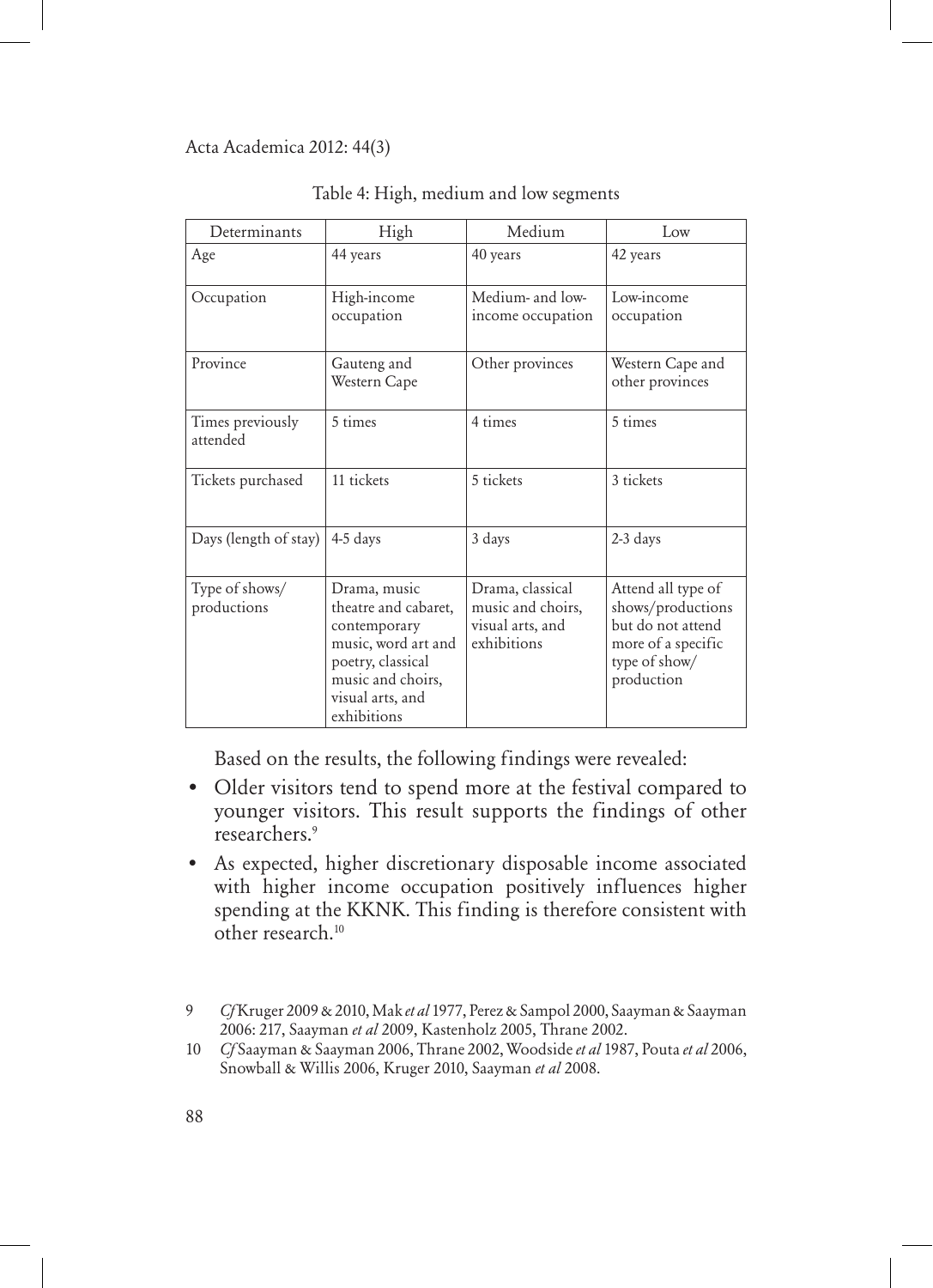| Determinants                  | High                                                                                                                                                     | Medium                                                                   | Low                                                                                                               |
|-------------------------------|----------------------------------------------------------------------------------------------------------------------------------------------------------|--------------------------------------------------------------------------|-------------------------------------------------------------------------------------------------------------------|
| Age                           | 44 years                                                                                                                                                 | 40 years                                                                 | 42 years                                                                                                          |
| Occupation                    | High-income<br>occupation                                                                                                                                | Medium- and low-<br>income occupation                                    | Low-income<br>occupation                                                                                          |
| Province                      | Gauteng and<br>Western Cape                                                                                                                              | Other provinces                                                          | Western Cape and<br>other provinces                                                                               |
| Times previously<br>attended  | 5 times                                                                                                                                                  | 4 times                                                                  | 5 times                                                                                                           |
| Tickets purchased             | 11 tickets                                                                                                                                               | 5 tickets                                                                | 3 tickets                                                                                                         |
| Days (length of stay)         | 4-5 days                                                                                                                                                 | 3 days                                                                   | 2-3 days                                                                                                          |
| Type of shows/<br>productions | Drama, music<br>theatre and cabaret,<br>contemporary<br>music, word art and<br>poetry, classical<br>music and choirs,<br>visual arts, and<br>exhibitions | Drama, classical<br>music and choirs,<br>visual arts, and<br>exhibitions | Attend all type of<br>shows/productions<br>but do not attend<br>more of a specific<br>type of show/<br>production |

Table 4: High, medium and low segments

Based on the results, the following findings were revealed:

- Older visitors tend to spend more at the festival compared to younger visitors. This result supports the findings of other researchers.9
- As expected, higher discretionary disposable income associated with higher income occupation positively influences higher spending at the KKNK. This finding is therefore consistent with other research.10

<sup>9</sup> *Cf* Kruger 2009 & 2010, Mak *et al* 1977, Perez & Sampol 2000, Saayman & Saayman 2006: 217, Saayman *et al* 2009, Kastenholz 2005, Thrane 2002.

<sup>10</sup> *Cf* Saayman & Saayman 2006, Thrane 2002, Woodside *et al* 1987, Pouta *et al* 2006, Snowball & Willis 2006, Kruger 2010, Saayman *et al* 2008.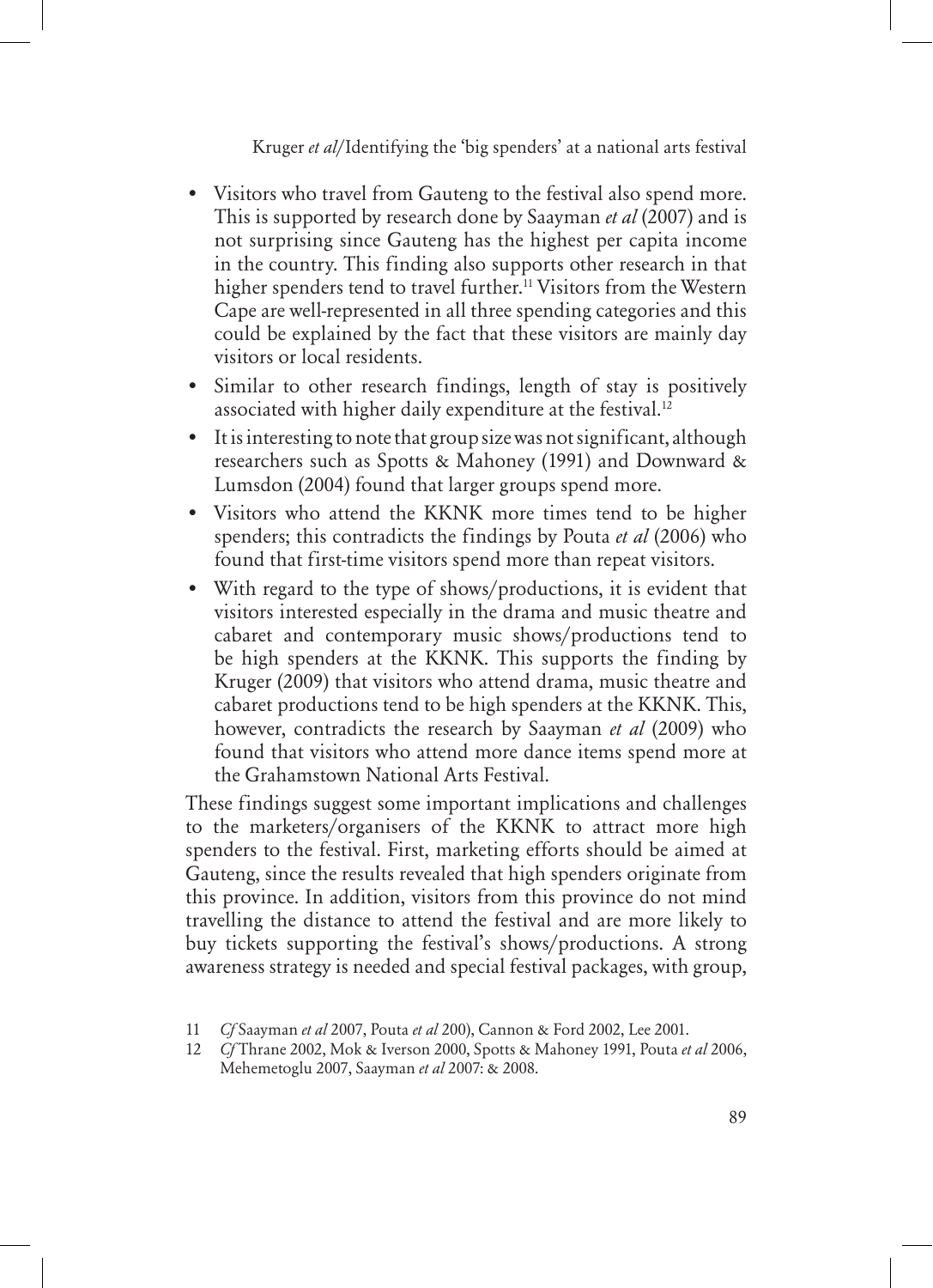- Visitors who travel from Gauteng to the festival also spend more. This is supported by research done by Saayman *et al* (2007) and is not surprising since Gauteng has the highest per capita income in the country. This finding also supports other research in that higher spenders tend to travel further.<sup>11</sup> Visitors from the Western Cape are well-represented in all three spending categories and this could be explained by the fact that these visitors are mainly day visitors or local residents.
- Similar to other research findings, length of stay is positively associated with higher daily expenditure at the festival.<sup>12</sup>
- It is interesting to note that group size was not significant, although researchers such as Spotts & Mahoney (1991) and Downward & Lumsdon (2004) found that larger groups spend more.
- Visitors who attend the KKNK more times tend to be higher spenders; this contradicts the findings by Pouta *et al* (2006) who found that first-time visitors spend more than repeat visitors.
- With regard to the type of shows/productions, it is evident that visitors interested especially in the drama and music theatre and cabaret and contemporary music shows/productions tend to be high spenders at the KKNK. This supports the finding by Kruger (2009) that visitors who attend drama, music theatre and cabaret productions tend to be high spenders at the KKNK. This, however, contradicts the research by Saayman *et al* (2009) who found that visitors who attend more dance items spend more at the Grahamstown National Arts Festival.

These findings suggest some important implications and challenges to the marketers/organisers of the KKNK to attract more high spenders to the festival. First, marketing efforts should be aimed at Gauteng, since the results revealed that high spenders originate from this province. In addition, visitors from this province do not mind travelling the distance to attend the festival and are more likely to buy tickets supporting the festival's shows/productions. A strong awareness strategy is needed and special festival packages, with group,

<sup>11</sup> *Cf* Saayman *et al* 2007, Pouta *et al* 200), Cannon & Ford 2002, Lee 2001.

<sup>12</sup> *Cf* Thrane 2002, Mok & Iverson 2000, Spotts & Mahoney 1991, Pouta *et al* 2006, Mehemetoglu 2007, Saayman *et al* 2007: & 2008.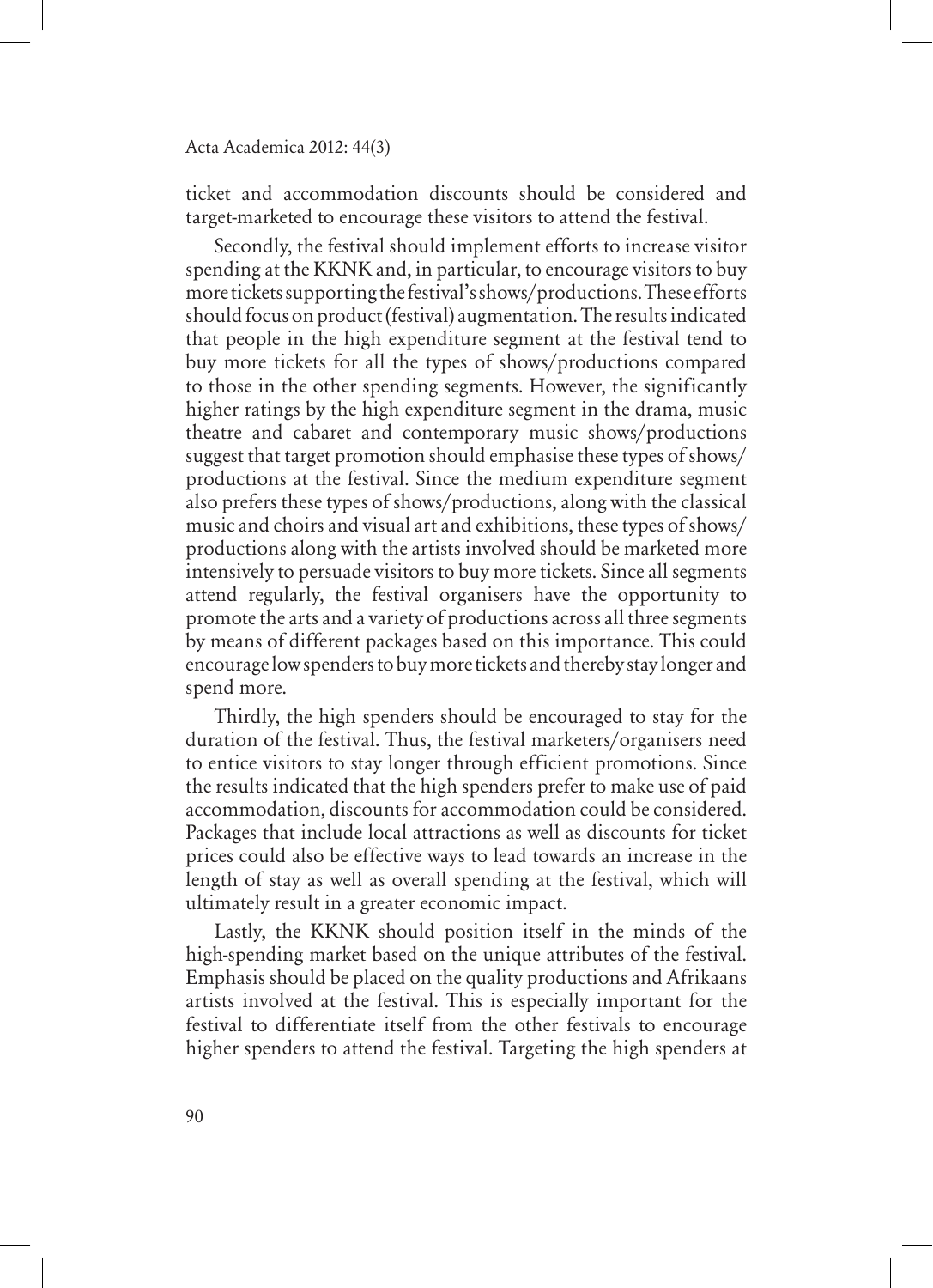ticket and accommodation discounts should be considered and target-marketed to encourage these visitors to attend the festival.

Secondly, the festival should implement efforts to increase visitor spending at the KKNK and, in particular, to encourage visitors to buy more tickets supporting the festival's shows/productions. These efforts should focus on product (festival) augmentation. The results indicated that people in the high expenditure segment at the festival tend to buy more tickets for all the types of shows/productions compared to those in the other spending segments. However, the significantly higher ratings by the high expenditure segment in the drama, music theatre and cabaret and contemporary music shows/productions suggest that target promotion should emphasise these types of shows/ productions at the festival. Since the medium expenditure segment also prefers these types of shows/productions, along with the classical music and choirs and visual art and exhibitions, these types of shows/ productions along with the artists involved should be marketed more intensively to persuade visitors to buy more tickets. Since all segments attend regularly, the festival organisers have the opportunity to promote the arts and a variety of productions across all three segments by means of different packages based on this importance. This could encourage low spenders to buy more tickets and thereby stay longer and spend more.

Thirdly, the high spenders should be encouraged to stay for the duration of the festival. Thus, the festival marketers/organisers need to entice visitors to stay longer through efficient promotions. Since the results indicated that the high spenders prefer to make use of paid accommodation, discounts for accommodation could be considered. Packages that include local attractions as well as discounts for ticket prices could also be effective ways to lead towards an increase in the length of stay as well as overall spending at the festival, which will ultimately result in a greater economic impact.

Lastly, the KKNK should position itself in the minds of the high-spending market based on the unique attributes of the festival. Emphasis should be placed on the quality productions and Afrikaans artists involved at the festival. This is especially important for the festival to differentiate itself from the other festivals to encourage higher spenders to attend the festival. Targeting the high spenders at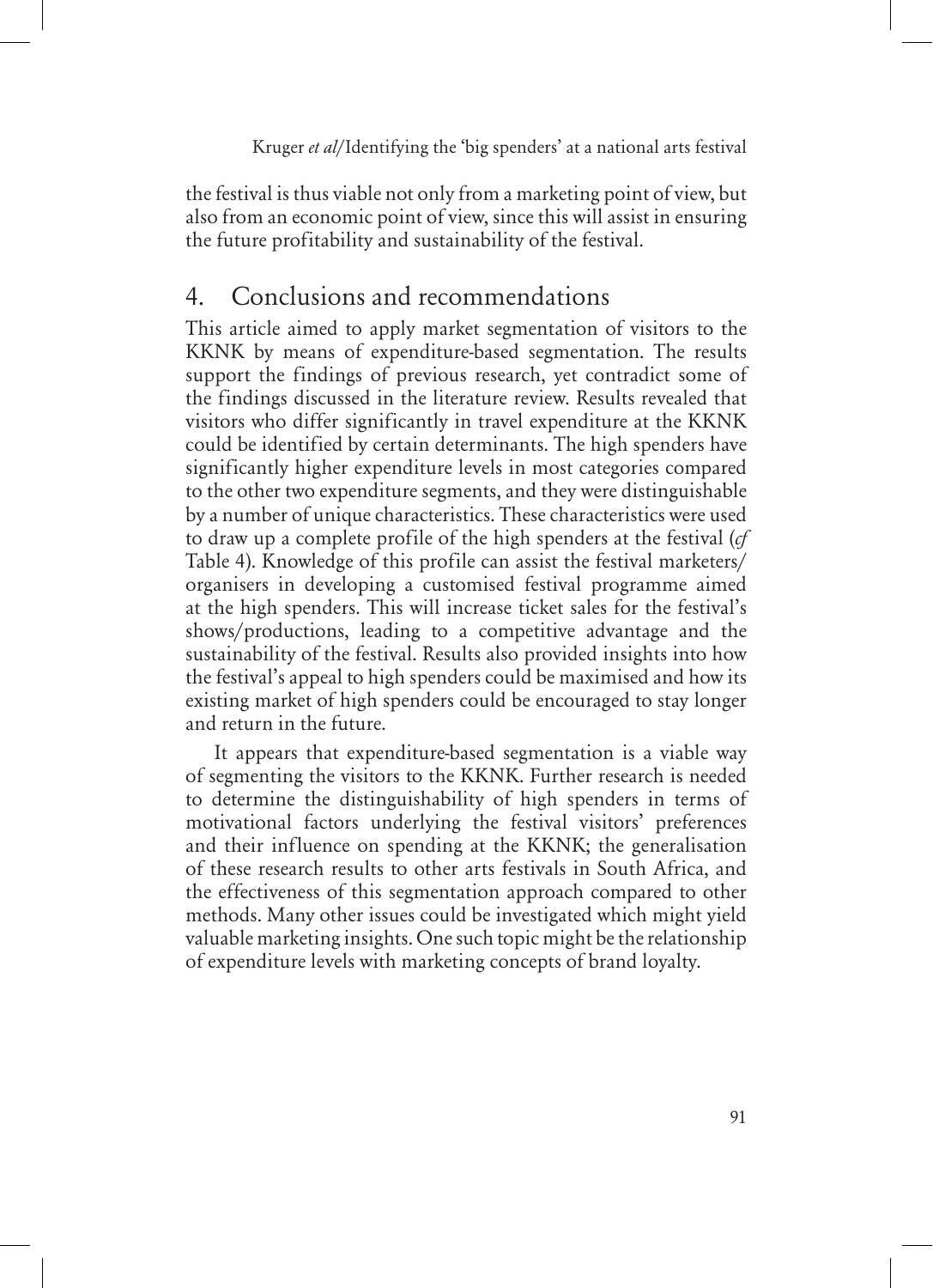the festival is thus viable not only from a marketing point of view, but also from an economic point of view, since this will assist in ensuring the future profitability and sustainability of the festival.

# 4. Conclusions and recommendations

This article aimed to apply market segmentation of visitors to the KKNK by means of expenditure-based segmentation. The results support the findings of previous research, yet contradict some of the findings discussed in the literature review. Results revealed that visitors who differ significantly in travel expenditure at the KKNK could be identified by certain determinants. The high spenders have significantly higher expenditure levels in most categories compared to the other two expenditure segments, and they were distinguishable by a number of unique characteristics. These characteristics were used to draw up a complete profile of the high spenders at the festival (*cf* Table 4). Knowledge of this profile can assist the festival marketers/ organisers in developing a customised festival programme aimed at the high spenders. This will increase ticket sales for the festival's shows/productions, leading to a competitive advantage and the sustainability of the festival. Results also provided insights into how the festival's appeal to high spenders could be maximised and how its existing market of high spenders could be encouraged to stay longer and return in the future.

It appears that expenditure-based segmentation is a viable way of segmenting the visitors to the KKNK. Further research is needed to determine the distinguishability of high spenders in terms of motivational factors underlying the festival visitors' preferences and their influence on spending at the KKNK; the generalisation of these research results to other arts festivals in South Africa, and the effectiveness of this segmentation approach compared to other methods. Many other issues could be investigated which might yield valuable marketing insights. One such topic might be the relationship of expenditure levels with marketing concepts of brand loyalty.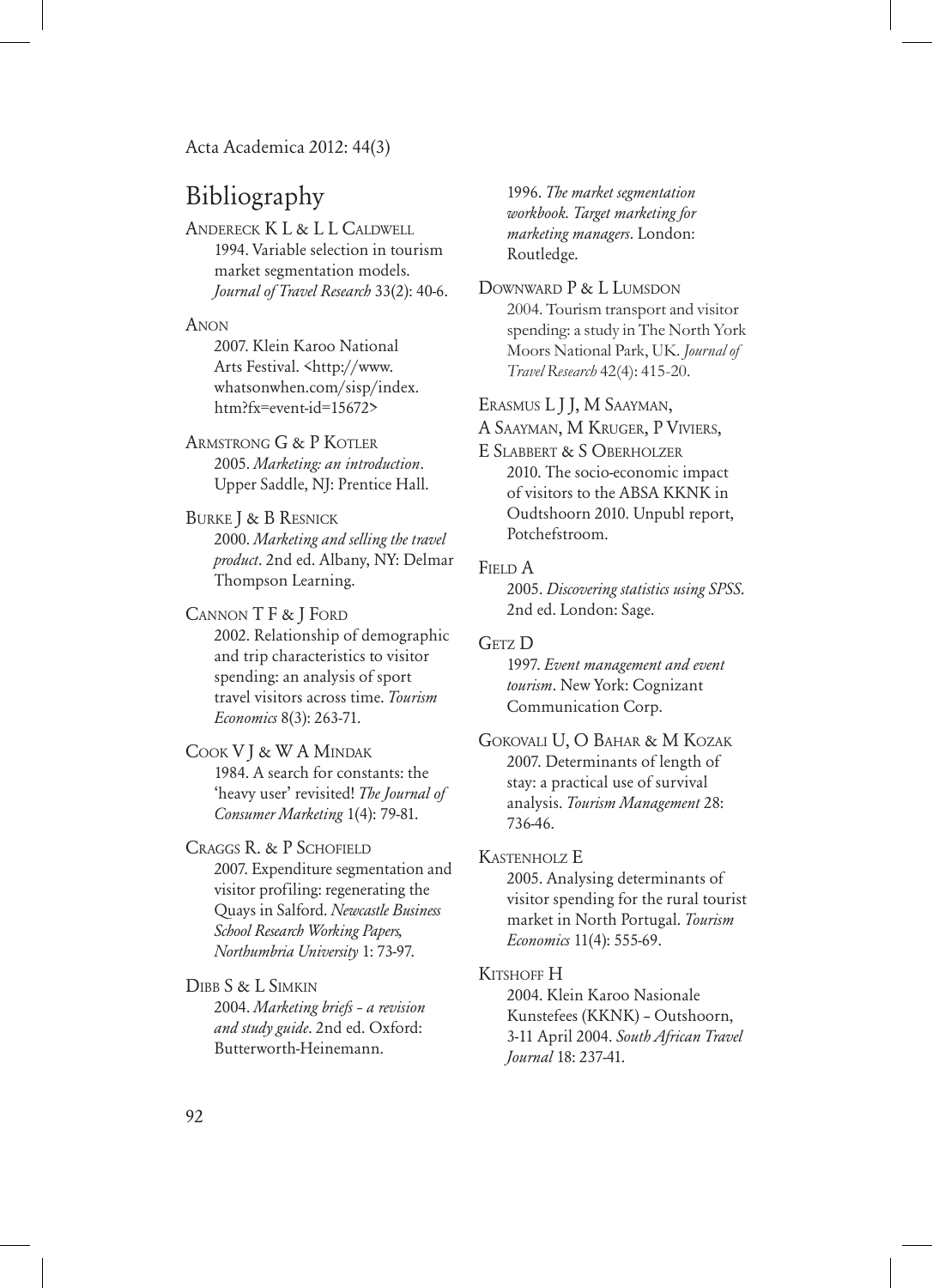# Bibliography

Andereck K L & L L Caldwell 1994. Variable selection in tourism market segmentation models. *Journal of Travel Research* 33(2): 40-6.

**ANON** 

2007. Klein Karoo National Arts Festival. <http://www. whatsonwhen.com/sisp/index. htm?fx=event-id=15672>

Armstrong G & P Kotler 2005. *Marketing: an introduction*. Upper Saddle, NJ: Prentice Hall.

Burke J & B Resnick 2000. *Marketing and selling the travel product*. 2nd ed. Albany, NY: Delmar Thompson Learning.

Cannon T F & J Ford 2002. Relationship of demographic and trip characteristics to visitor spending: an analysis of sport travel visitors across time. *Tourism Economics* 8(3): 263-71.

Cook V J & W A Mindak 1984. A search for constants: the 'heavy user' revisited! *The Journal of Consumer Marketing* 1(4): 79-81.

Craggs R. & P Schofield 2007. Expenditure segmentation and visitor profiling: regenerating the Quays in Salford. *Newcastle Business School Research Working Papers, Northumbria University* 1: 73-97.

Dibb S & L Simkin 2004. *Marketing briefs – a revision and study guide*. 2nd ed. Oxford: Butterworth-Heinemann.

1996. *The market segmentation workbook. Target marketing for marketing managers*. London: Routledge.

DOWNWARD P & L LUMSDON 2004. Tourism transport and visitor spending: a study in The North York Moors National Park, UK. *Journal of Travel Research* 42(4): 415-20.

Erasmus L J J, M Saayman,

A Saayman, M Kruger, P Viviers,

E Slabbert & S Oberholzer 2010. The socio-economic impact of visitors to the ABSA KKNK in Oudtshoorn 2010. Unpubl report, Potchefstroom.

#### FIELD A

2005. *Discovering statistics using SPSS*. 2nd ed. London: Sage.

GETZ<sub>D</sub> 1997. *Event management and event tourism*. New York: Cognizant Communication Corp.

Gokovali U, O Bahar & M Kozak 2007. Determinants of length of stay: a practical use of survival analysis. *Tourism Management* 28: 736-46.

Kastenholz E

2005. Analysing determinants of visitor spending for the rural tourist market in North Portugal. *Tourism Economics* 11(4): 555-69.

#### KITSHOFF H

2004. Klein Karoo Nasionale Kunstefees (KKNK) – Outshoorn, 3-11 April 2004. *South African Travel Journal* 18: 237-41.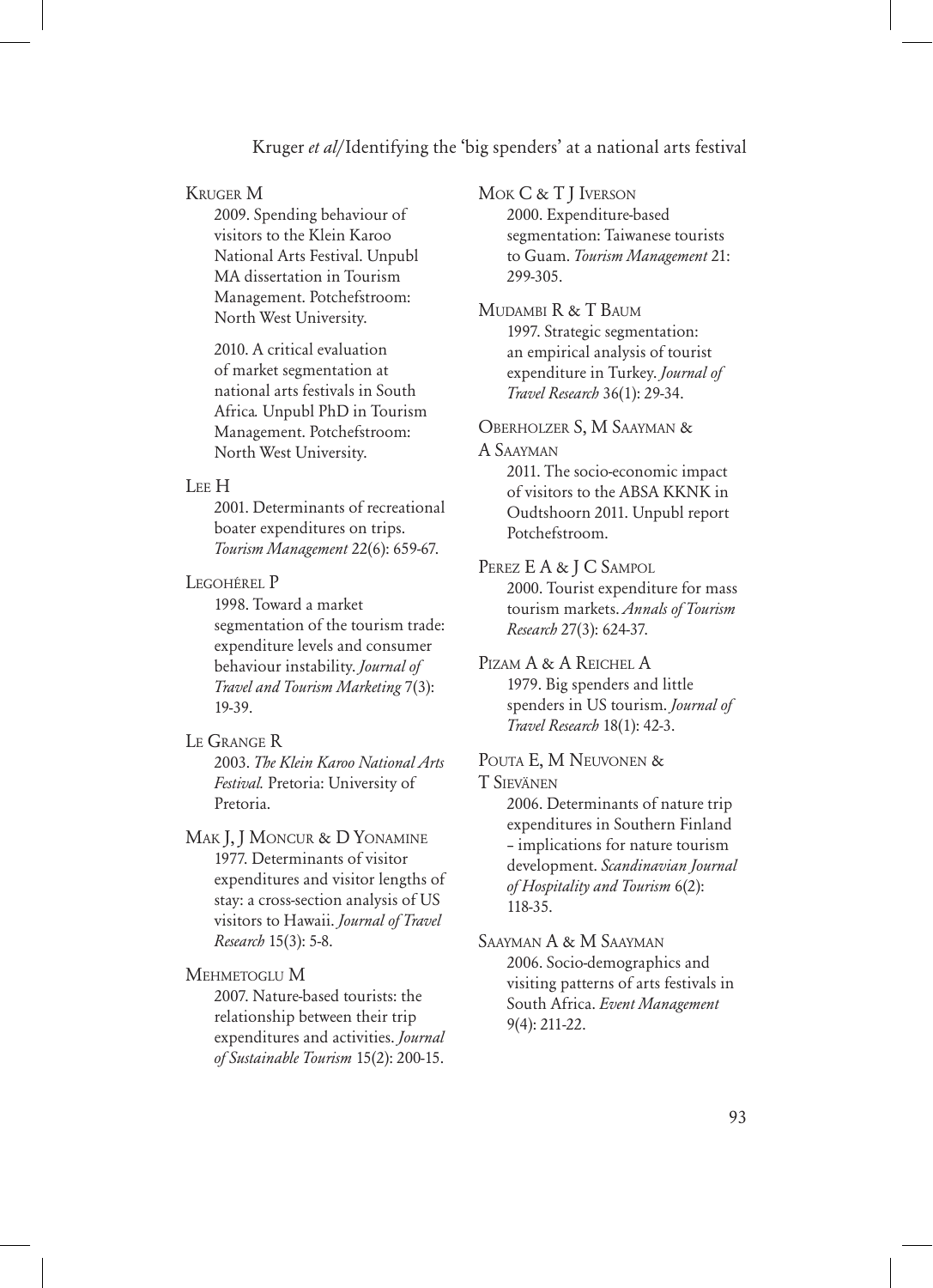#### Kruger M

2009. Spending behaviour of visitors to the Klein Karoo National Arts Festival. Unpubl MA dissertation in Tourism Management. Potchefstroom: North West University.

2010. A critical evaluation of market segmentation at national arts festivals in South Africa*.* Unpubl PhD in Tourism Management. Potchefstroom: North West University.

#### Lee H

2001. Determinants of recreational boater expenditures on trips. *Tourism Management* 22(6): 659-67.

Legohérel P

1998. Toward a market segmentation of the tourism trade: expenditure levels and consumer behaviour instability. *Journal of Travel and Tourism Marketing* 7(3): 19-39.

#### Le Grange R

2003. *The Klein Karoo National Arts Festival.* Pretoria: University of Pretoria.

MAK J, J MONCUR & D YONAMINE 1977. Determinants of visitor expenditures and visitor lengths of stay: a cross-section analysis of US visitors to Hawaii. *Journal of Travel Research* 15(3): 5-8.

Mehmetoglu M

2007. Nature-based tourists: the relationship between their trip expenditures and activities. *Journal of Sustainable Tourism* 15(2): 200-15. Mok C & T J Iverson

2000. Expenditure-based segmentation: Taiwanese tourists to Guam. *Tourism Management* 21: 299-305.

MUDAMBI R & T BAUM 1997. Strategic segmentation: an empirical analysis of tourist expenditure in Turkey. *Journal of Travel Research* 36(1): 29-34.

Oberholzer S, M Saayman & A Saayman

> 2011. The socio-economic impact of visitors to the ABSA KKNK in Oudtshoorn 2011. Unpubl report Potchefstroom.

#### PEREZ E A & J C SAMPOL

2000. Tourist expenditure for mass tourism markets. *Annals of Tourism Research* 27(3): 624-37.

PIZAM A & A REICHEL A 1979. Big spenders and little spenders in US tourism. *Journal of Travel Research* 18(1): 42-3.

Pouta E, M Neuvonen & T Sievänen

> 2006. Determinants of nature trip expenditures in Southern Finland – implications for nature tourism development. *Scandinavian Journal of Hospitality and Tourism* 6(2): 118-35.

Saayman A & M Saayman 2006. Socio-demographics and visiting patterns of arts festivals in South Africa. *Event Management* 9(4): 211-22.